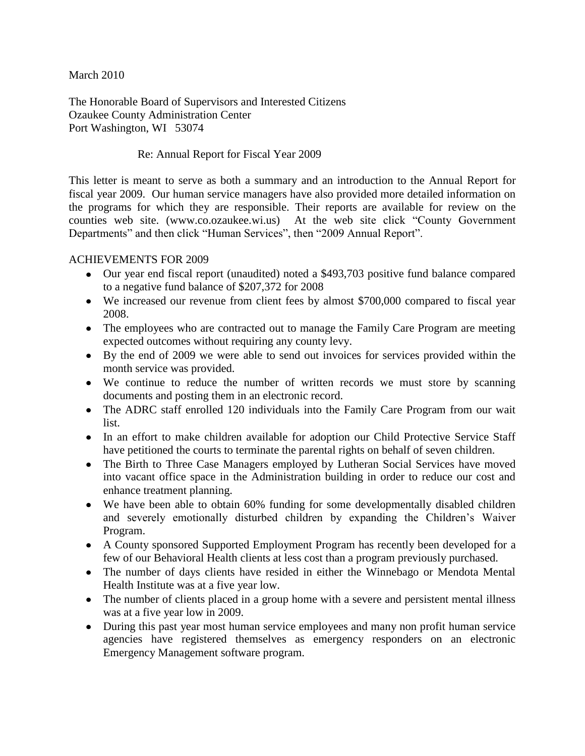March 2010

The Honorable Board of Supervisors and Interested Citizens Ozaukee County Administration Center Port Washington, WI 53074

## Re: Annual Report for Fiscal Year 2009

This letter is meant to serve as both a summary and an introduction to the Annual Report for fiscal year 2009. Our human service managers have also provided more detailed information on the programs for which they are responsible. Their reports are available for review on the counties web site. (www.co.ozaukee.wi.us) At the web site click "County Government Departments" and then click "Human Services", then "2009 Annual Report".

### ACHIEVEMENTS FOR 2009

- Our year end fiscal report (unaudited) noted a \$493,703 positive fund balance compared to a negative fund balance of \$207,372 for 2008
- We increased our revenue from client fees by almost \$700,000 compared to fiscal year 2008.
- The employees who are contracted out to manage the Family Care Program are meeting expected outcomes without requiring any county levy.
- By the end of 2009 we were able to send out invoices for services provided within the month service was provided.
- We continue to reduce the number of written records we must store by scanning documents and posting them in an electronic record.
- The ADRC staff enrolled 120 individuals into the Family Care Program from our wait list.
- In an effort to make children available for adoption our Child Protective Service Staff have petitioned the courts to terminate the parental rights on behalf of seven children.
- The Birth to Three Case Managers employed by Lutheran Social Services have moved into vacant office space in the Administration building in order to reduce our cost and enhance treatment planning.
- We have been able to obtain 60% funding for some developmentally disabled children and severely emotionally disturbed children by expanding the Children"s Waiver Program.
- A County sponsored Supported Employment Program has recently been developed for a few of our Behavioral Health clients at less cost than a program previously purchased.
- The number of days clients have resided in either the Winnebago or Mendota Mental Health Institute was at a five year low.
- The number of clients placed in a group home with a severe and persistent mental illness was at a five year low in 2009.
- During this past year most human service employees and many non profit human service agencies have registered themselves as emergency responders on an electronic Emergency Management software program.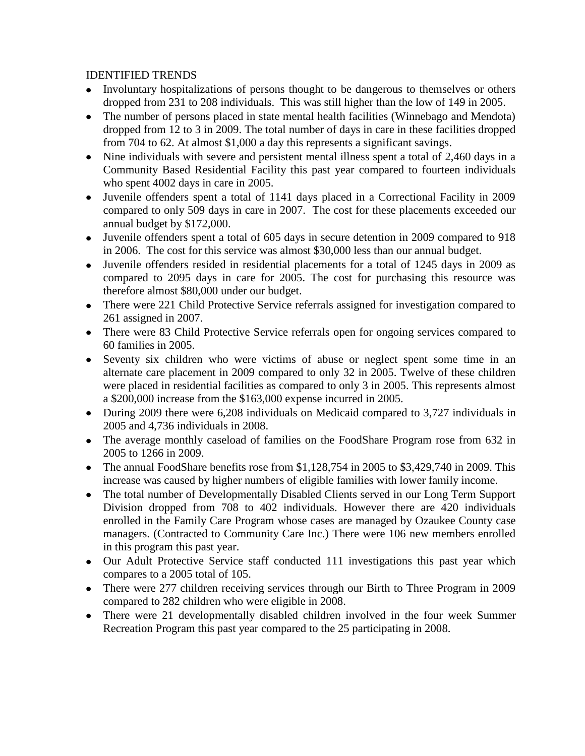## IDENTIFIED TRENDS

- Involuntary hospitalizations of persons thought to be dangerous to themselves or others dropped from 231 to 208 individuals. This was still higher than the low of 149 in 2005.
- The number of persons placed in state mental health facilities (Winnebago and Mendota) dropped from 12 to 3 in 2009. The total number of days in care in these facilities dropped from 704 to 62. At almost \$1,000 a day this represents a significant savings.
- Nine individuals with severe and persistent mental illness spent a total of 2,460 days in a Community Based Residential Facility this past year compared to fourteen individuals who spent 4002 days in care in 2005.
- Juvenile offenders spent a total of 1141 days placed in a Correctional Facility in 2009 compared to only 509 days in care in 2007. The cost for these placements exceeded our annual budget by \$172,000.
- Juvenile offenders spent a total of 605 days in secure detention in 2009 compared to 918 in 2006. The cost for this service was almost \$30,000 less than our annual budget.
- Juvenile offenders resided in residential placements for a total of 1245 days in 2009 as compared to 2095 days in care for 2005. The cost for purchasing this resource was therefore almost \$80,000 under our budget.
- There were 221 Child Protective Service referrals assigned for investigation compared to 261 assigned in 2007.
- There were 83 Child Protective Service referrals open for ongoing services compared to 60 families in 2005.
- Seventy six children who were victims of abuse or neglect spent some time in an alternate care placement in 2009 compared to only 32 in 2005. Twelve of these children were placed in residential facilities as compared to only 3 in 2005. This represents almost a \$200,000 increase from the \$163,000 expense incurred in 2005.
- During 2009 there were 6,208 individuals on Medicaid compared to 3,727 individuals in 2005 and 4,736 individuals in 2008.
- The average monthly caseload of families on the FoodShare Program rose from 632 in 2005 to 1266 in 2009.
- The annual FoodShare benefits rose from \$1,128,754 in 2005 to \$3,429,740 in 2009. This increase was caused by higher numbers of eligible families with lower family income.
- The total number of Developmentally Disabled Clients served in our Long Term Support Division dropped from 708 to 402 individuals. However there are 420 individuals enrolled in the Family Care Program whose cases are managed by Ozaukee County case managers. (Contracted to Community Care Inc.) There were 106 new members enrolled in this program this past year.
- Our Adult Protective Service staff conducted 111 investigations this past year which compares to a 2005 total of 105.
- There were 277 children receiving services through our Birth to Three Program in 2009 compared to 282 children who were eligible in 2008.
- There were 21 developmentally disabled children involved in the four week Summer Recreation Program this past year compared to the 25 participating in 2008.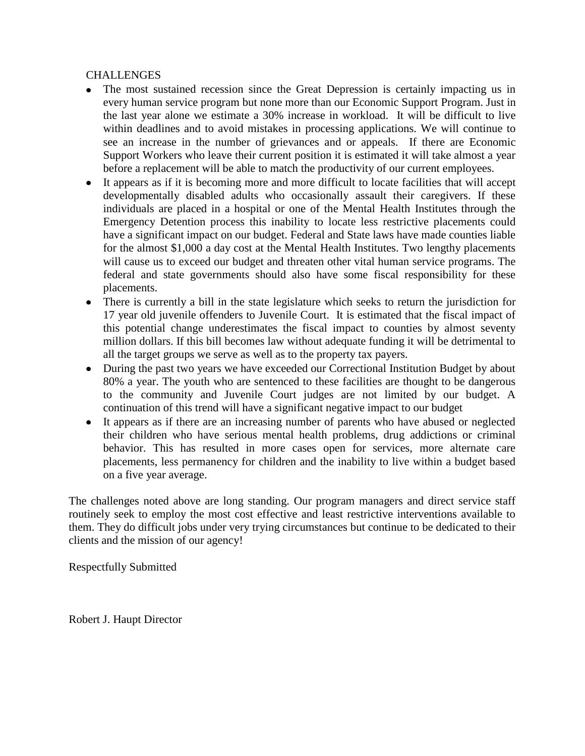## CHALLENGES

- The most sustained recession since the Great Depression is certainly impacting us in every human service program but none more than our Economic Support Program. Just in the last year alone we estimate a 30% increase in workload. It will be difficult to live within deadlines and to avoid mistakes in processing applications. We will continue to see an increase in the number of grievances and or appeals. If there are Economic Support Workers who leave their current position it is estimated it will take almost a year before a replacement will be able to match the productivity of our current employees.
- It appears as if it is becoming more and more difficult to locate facilities that will accept developmentally disabled adults who occasionally assault their caregivers. If these individuals are placed in a hospital or one of the Mental Health Institutes through the Emergency Detention process this inability to locate less restrictive placements could have a significant impact on our budget. Federal and State laws have made counties liable for the almost \$1,000 a day cost at the Mental Health Institutes. Two lengthy placements will cause us to exceed our budget and threaten other vital human service programs. The federal and state governments should also have some fiscal responsibility for these placements.
- There is currently a bill in the state legislature which seeks to return the jurisdiction for 17 year old juvenile offenders to Juvenile Court. It is estimated that the fiscal impact of this potential change underestimates the fiscal impact to counties by almost seventy million dollars. If this bill becomes law without adequate funding it will be detrimental to all the target groups we serve as well as to the property tax payers.
- During the past two years we have exceeded our Correctional Institution Budget by about 80% a year. The youth who are sentenced to these facilities are thought to be dangerous to the community and Juvenile Court judges are not limited by our budget. A continuation of this trend will have a significant negative impact to our budget
- It appears as if there are an increasing number of parents who have abused or neglected  $\bullet$ their children who have serious mental health problems, drug addictions or criminal behavior. This has resulted in more cases open for services, more alternate care placements, less permanency for children and the inability to live within a budget based on a five year average.

The challenges noted above are long standing. Our program managers and direct service staff routinely seek to employ the most cost effective and least restrictive interventions available to them. They do difficult jobs under very trying circumstances but continue to be dedicated to their clients and the mission of our agency!

Respectfully Submitted

Robert J. Haupt Director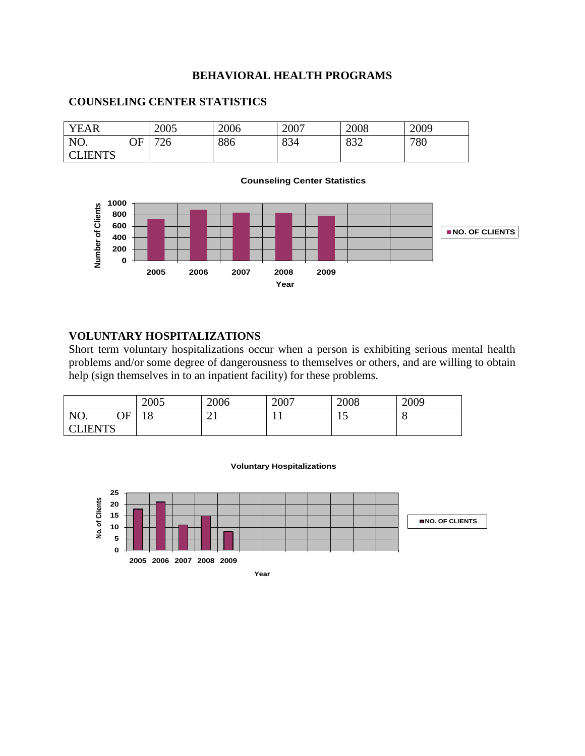### **BEHAVIORAL HEALTH PROGRAMS**

# YEAR 2005 2006 2007 2008 2009 NO. OF **CLIENTS** 726 886 834 832 780 **Counseling Center Statistics**





## **VOLUNTARY HOSPITALIZATIONS**

Short term voluntary hospitalizations occur when a person is exhibiting serious mental health problems and/or some degree of dangerousness to themselves or others, and are willing to obtain help (sign themselves in to an inpatient facility) for these problems.

|              |    | 2005      | 2006 | 2007 | 2008 | 2009 |
|--------------|----|-----------|------|------|------|------|
| NO.          | OΕ | 1 O<br>18 | ∠⊥   | . .  | ⊥ັ   | O    |
| <b>IENTS</b> |    |           |      |      |      |      |



**Voluntary Hospitalizations**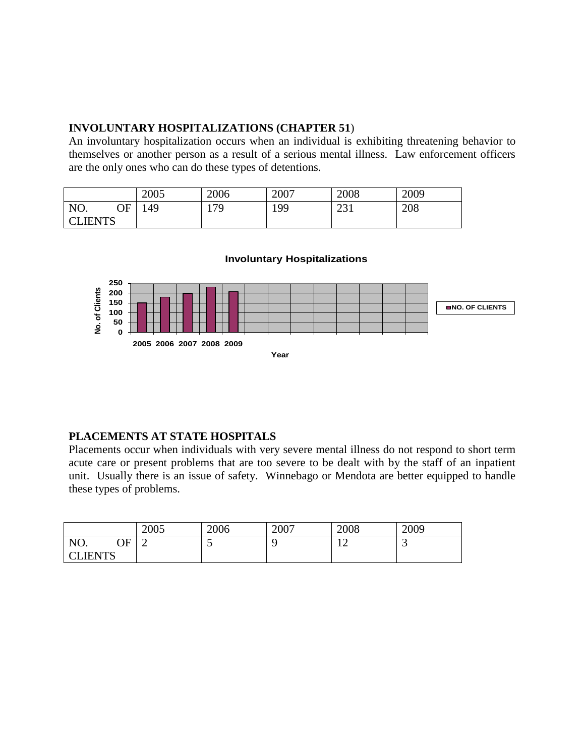## **INVOLUNTARY HOSPITALIZATIONS (CHAPTER 51**)

An involuntary hospitalization occurs when an individual is exhibiting threatening behavior to themselves or another person as a result of a serious mental illness. Law enforcement officers are the only ones who can do these types of detentions.

|                |    | 2005 | 2006 | 2007 | 2008        | 2009 |
|----------------|----|------|------|------|-------------|------|
| NO.            | ОF | 49ء  | 179  | 199  | 221<br>⊥ ب⊿ | 208  |
| <b>CLIENTS</b> |    |      |      |      |             |      |

## **Involuntary Hospitalizations**



## **PLACEMENTS AT STATE HOSPITALS**

Placements occur when individuals with very severe mental illness do not respond to short term acute care or present problems that are too severe to be dealt with by the staff of an inpatient unit. Usually there is an issue of safety. Winnebago or Mendota are better equipped to handle these types of problems.

|                                                |    | 2005<br>ZUUS | 2006                     | 2007 | 2008           | 2009 |
|------------------------------------------------|----|--------------|--------------------------|------|----------------|------|
| NO.                                            | ∩F |              | $\overline{\phantom{0}}$ |      | 1 <sub>0</sub> | ັ    |
| <b>JENTS</b><br>$\overline{\text{C}}$<br>ט 1 א |    |              |                          |      |                |      |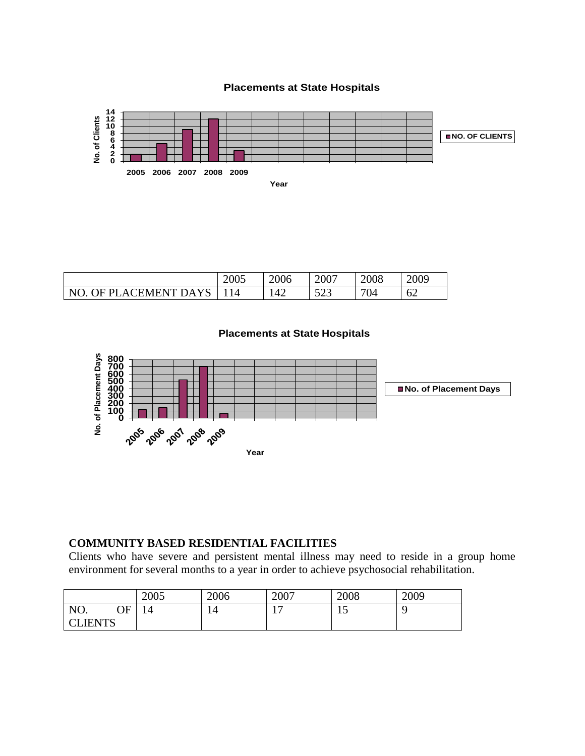### **Placements at State Hospitals**



|                       | 2005 | 2006 | 2007         | 2008 | 2009 |
|-----------------------|------|------|--------------|------|------|
| NO. OF PLACEMENT DAYS |      | 42   | 572<br>ر ے ر | 704  | 62   |



## **COMMUNITY BASED RESIDENTIAL FACILITIES**

Clients who have severe and persistent mental illness may need to reside in a group home environment for several months to a year in order to achieve psychosocial rehabilitation.

|                | 2005 | 2006 | 2007 | 2008 | 2009 |
|----------------|------|------|------|------|------|
| NO.<br>∩F      | 14   | 14   | . H  | ⊥ັ   |      |
| <b>CLIENTS</b> |      |      |      |      |      |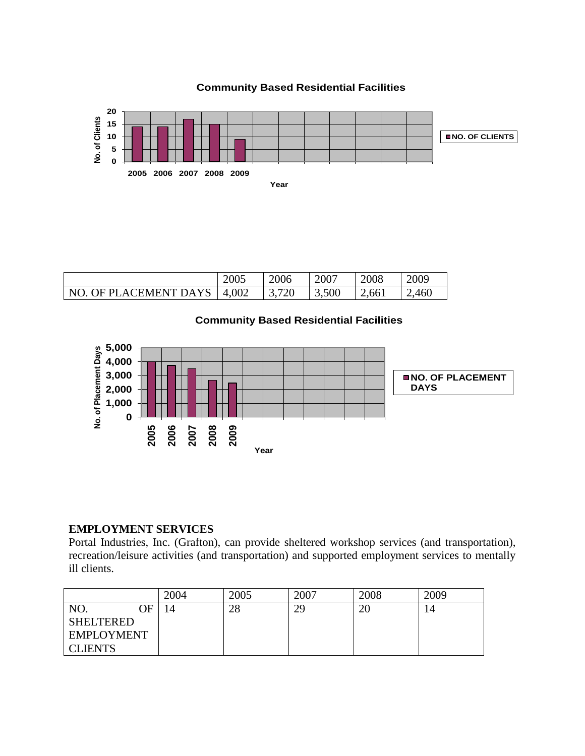

|  | <b>Community Based Residential Facilities</b> |  |
|--|-----------------------------------------------|--|
|--|-----------------------------------------------|--|

|                               | 2005 | 2006  | 2007  | 2008  | 2009 |
|-------------------------------|------|-------|-------|-------|------|
| NO. OF PLACEMENT DAYS   4,002 |      | 3,720 | 3,500 | 2,661 | .460 |

## **Community Based Residential Facilities**



## **EMPLOYMENT SERVICES**

Portal Industries, Inc. (Grafton), can provide sheltered workshop services (and transportation), recreation/leisure activities (and transportation) and supported employment services to mentally ill clients.

|                   | 2004 | 2005 | 2007 | 2008 | 2009 |
|-------------------|------|------|------|------|------|
| NO.<br>ЭF         | 4    | 28   | 29   | 20   | 14   |
| SHELTERED         |      |      |      |      |      |
| <b>EMPLOYMENT</b> |      |      |      |      |      |
| <b>CLIENTS</b>    |      |      |      |      |      |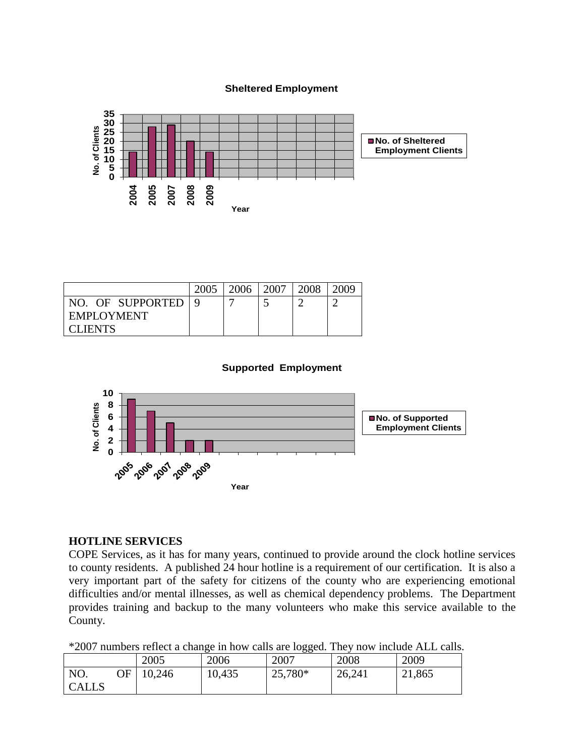**Sheltered Employment**



|                  | 2005 | 2006 | 2007 | 2008 | 2009 |
|------------------|------|------|------|------|------|
| NO. OF SUPPORTED |      |      |      |      |      |
| EMPLOYMENT       |      |      |      |      |      |
| <b>CLIENTS</b>   |      |      |      |      |      |

#### **Supported Employment**



### **HOTLINE SERVICES**

COPE Services, as it has for many years, continued to provide around the clock hotline services to county residents. A published 24 hour hotline is a requirement of our certification. It is also a very important part of the safety for citizens of the county who are experiencing emotional difficulties and/or mental illnesses, as well as chemical dependency problems. The Department provides training and backup to the many volunteers who make this service available to the County.

\*2007 numbers reflect a change in how calls are logged. They now include ALL calls.

|              |    | 2005   | ັ<br>2006 | ັັ<br>2007 | 2008   | 2009   |
|--------------|----|--------|-----------|------------|--------|--------|
| NO.          | ЭF | 10,246 | 10,435    | 25,780*    | 26,241 | 21,865 |
| <b>CALLS</b> |    |        |           |            |        |        |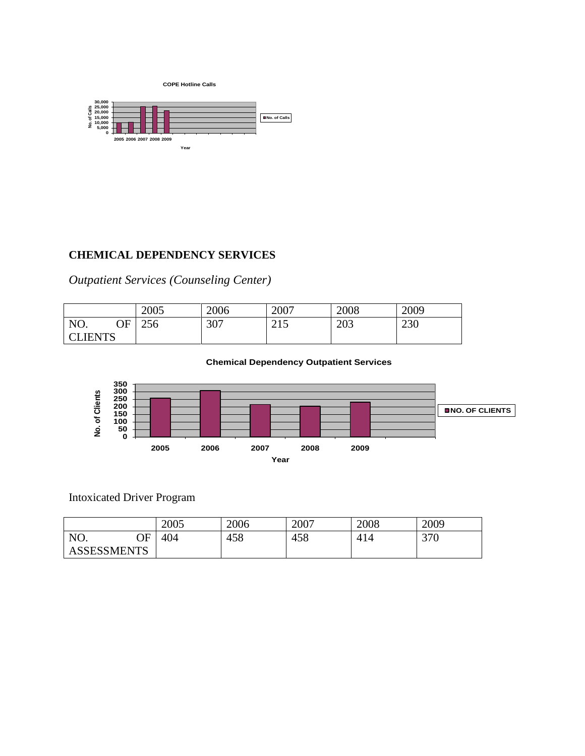



## **CHEMICAL DEPENDENCY SERVICES**

*Outpatient Services (Counseling Center)*

|                |    | 2005 | 2006 | 2007                          | 2008 | 2009 |
|----------------|----|------|------|-------------------------------|------|------|
| NO.            | ΩE | 256  | 307  | $\bigcap$ 1 $\bigcap$<br>ب که | 203  | 230  |
| <b>CLIENTS</b> |    |      |      |                               |      |      |

#### **Chemical Dependency Outpatient Services**



# Intoxicated Driver Program

|                    |    | 2005 | 2006 | 2007 | 2008 | 2009 |
|--------------------|----|------|------|------|------|------|
| NO.                | ЭF | 404  | 458  | 458  | 414  | 370  |
| <b>ASSESSMENTS</b> |    |      |      |      |      |      |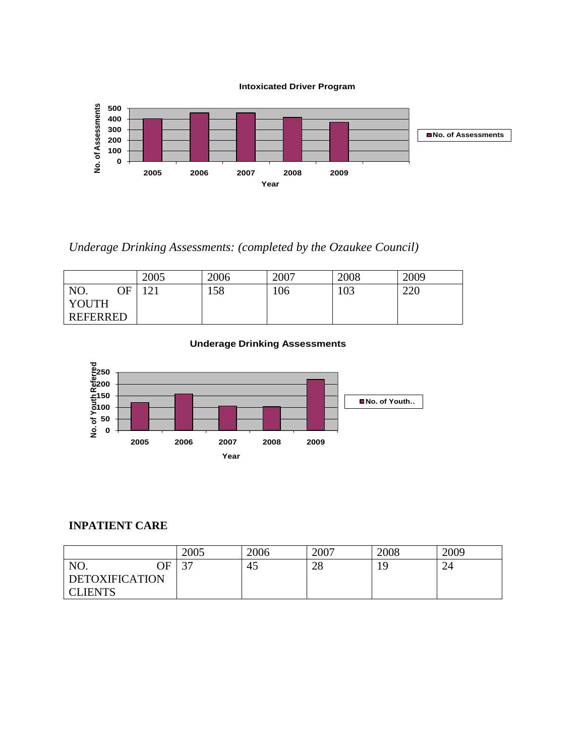

*Underage Drinking Assessments: (completed by the Ozaukee Council)*

|                 |    | 2005                            | 2006 | 2007 | 2008 | 2009 |
|-----------------|----|---------------------------------|------|------|------|------|
| NO.             | ОF | $1^{\prime}\mathsf{1}^{\prime}$ | 158  | 106  | 103  | 220  |
| YOUTH           |    |                                 |      |      |      |      |
| <b>REFERRED</b> |    |                                 |      |      |      |      |

### **Underage Drinking Assessments**



## **INPATIENT CARE**

|                       |    | 2005               | 2006 | 2007 | 2008 | 2009 |
|-----------------------|----|--------------------|------|------|------|------|
| NO.                   | NЕ | $\sim$ $\sim$<br>◡ | 45   | 28   | 19   | 24   |
| <b>DETOXIFICATION</b> |    |                    |      |      |      |      |
| <b>CLIENTS</b>        |    |                    |      |      |      |      |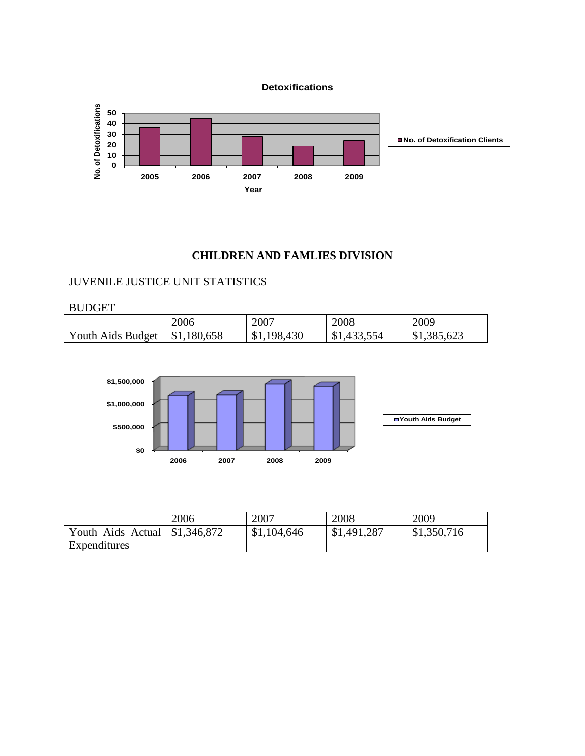**Detoxifications**



## **CHILDREN AND FAMLIES DIVISION**

# JUVENILE JUSTICE UNIT STATISTICS

#### BUDGET

|                   | 2006                      | 2007        | 2008        | 2009        |
|-------------------|---------------------------|-------------|-------------|-------------|
| Youth Aids Budget | $\frac{1}{2}$ \$1,180,658 | \$1,198,430 | \$1,433,554 | \$1,385,623 |



|                                      | 2006 | 2007        | 2008        | 2009        |
|--------------------------------------|------|-------------|-------------|-------------|
| Youth Aids Actual $\mid$ \$1,346,872 |      | \$1,104,646 | \$1,491,287 | \$1,350,716 |
| Expenditures                         |      |             |             |             |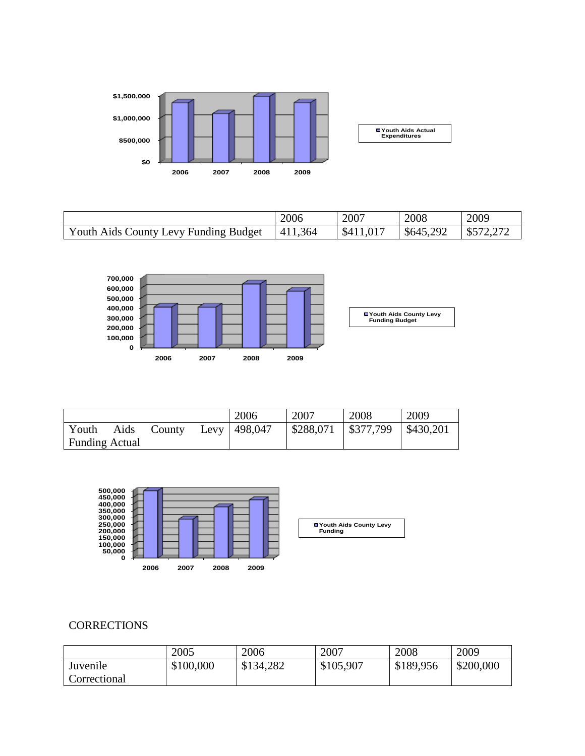

|                            | 2006 | 2007 | 2008  | 2009                     |
|----------------------------|------|------|-------|--------------------------|
| County Levy Funding Budget | .364 | .017 | 292   | $\Delta$ $\Box$ $\Delta$ |
| Youth Aids L               | 41.  | \$4  | \$645 | ل0                       |



|                       |      |        | 2006             | 2007      | 2008                              | 2009 |
|-----------------------|------|--------|------------------|-----------|-----------------------------------|------|
| Youth                 | Aids | County | Levy   $498,047$ | \$288,071 | $\mid$ \$377,799 $\mid$ \$430,201 |      |
| <b>Funding Actual</b> |      |        |                  |           |                                   |      |



## **CORRECTIONS**

|              | 2005      | 2006      | 2007      | 2008      | 2009      |
|--------------|-----------|-----------|-----------|-----------|-----------|
| Juvenile     | \$100,000 | \$134,282 | \$105,907 | \$189,956 | \$200,000 |
| Correctional |           |           |           |           |           |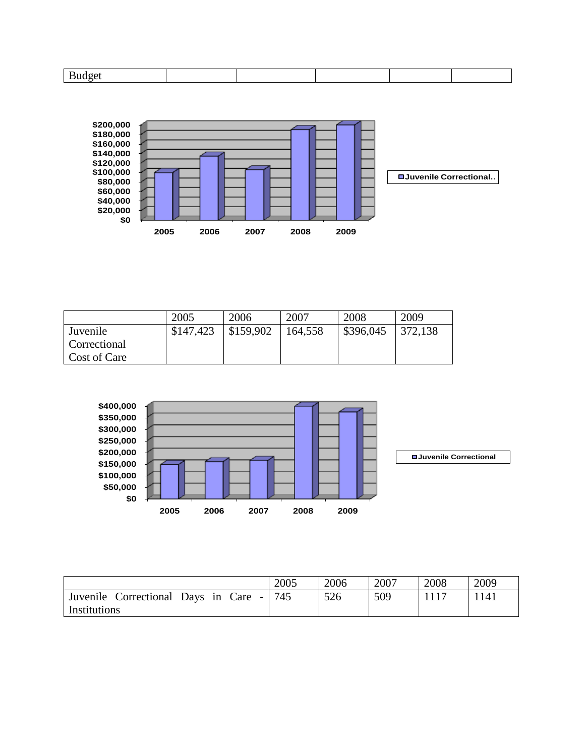

|              | 2005      | 2006      | 2007    | 2008      | 2009    |
|--------------|-----------|-----------|---------|-----------|---------|
| Juvenile     | \$147,423 | \$159,902 | 164,558 | \$396,045 | 372,138 |
| Correctional |           |           |         |           |         |
| Cost of Care |           |           |         |           |         |



|                                                                         | 2005 | 2006 | 2007 | 2008 | 2009 |
|-------------------------------------------------------------------------|------|------|------|------|------|
| Juvenile<br>Care<br>Correctional<br>Days in<br>$\overline{\phantom{a}}$ | 745  | 526  | 509  |      | 1141 |
| Institutions                                                            |      |      |      |      |      |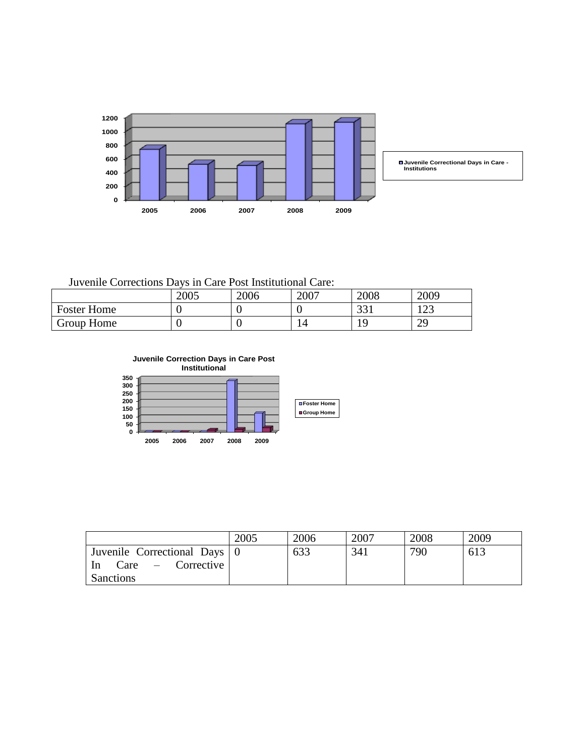

Juvenile Corrections Days in Care Post Institutional Care:

|                    | 2005 | 2006 | 2007 | 2008                         | 2009             |
|--------------------|------|------|------|------------------------------|------------------|
| <b>Foster Home</b> |      |      |      | $\bigcap$ $\bigcap$ 1<br>ر ر | $1 \cap$<br>رے 1 |
| Group Home         |      |      |      |                              | 29               |

**Juvenile Correction Days in Care Post Institutional**



|                                       | 2005 | 2006 | 2007 | 2008 | 2009 |
|---------------------------------------|------|------|------|------|------|
| Juvenile Correctional Days 0          |      | 633  | 341  | 790  | 613  |
| $Care -$ Corrective<br>I <sub>n</sub> |      |      |      |      |      |
| Sanctions                             |      |      |      |      |      |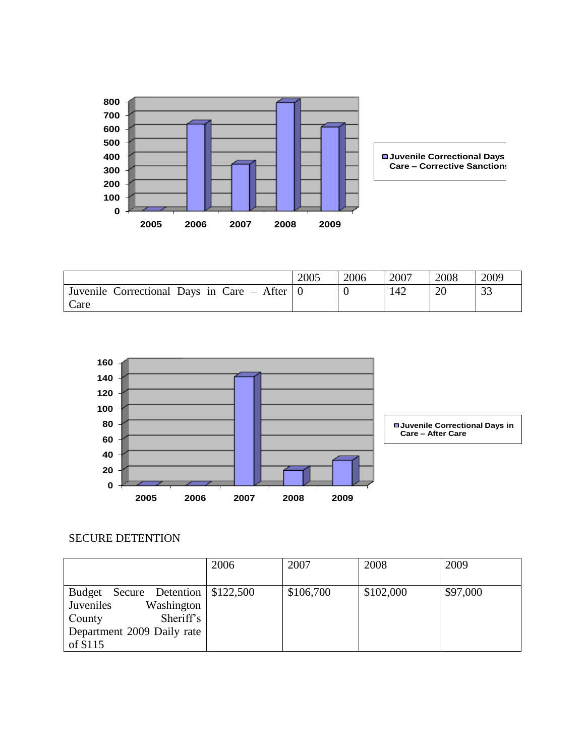

|                                                | 2005 | 2006 | 2007 | 2008 | 2009 |
|------------------------------------------------|------|------|------|------|------|
| Juvenile Correctional Days in Care – After   0 |      |      | 142  | 20   | 33   |
| Care                                           |      |      |      |      |      |



# SECURE DETENTION

|                                        | 2006 | 2007      | 2008      | 2009     |
|----------------------------------------|------|-----------|-----------|----------|
|                                        |      |           |           |          |
| Secure Detention   \$122,500<br>Budget |      | \$106,700 | \$102,000 | \$97,000 |
| Juveniles<br>Washington                |      |           |           |          |
| Sheriff's<br>County                    |      |           |           |          |
| Department 2009 Daily rate             |      |           |           |          |
| of $$115$                              |      |           |           |          |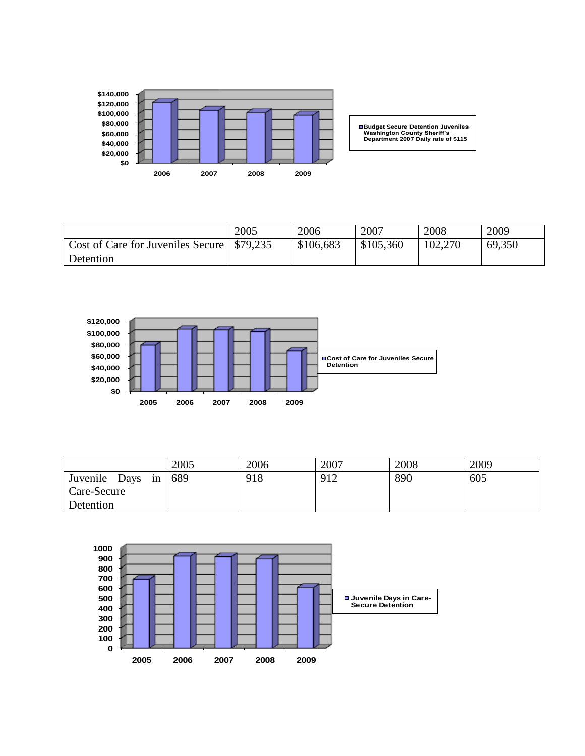

**Budget Secure Detention Juveniles Washington County Sheriff's Department 2007 Daily rate of \$115**

|                                               | 2005 | 2006      | 2007      | 2008    | 2009   |
|-----------------------------------------------|------|-----------|-----------|---------|--------|
| Cost of Care for Juveniles Secure \ \\$79,235 |      | \$106,683 | \$105,360 | 102,270 | 69,350 |
| Detention                                     |      |           |           |         |        |



|                     | 2005 | 2006 | 2007 | 2008 | 2009 |
|---------------------|------|------|------|------|------|
| Juvenile Days<br>in | 689  | 918  | 912  | 890  | 605  |
| Care-Secure         |      |      |      |      |      |
| Detention           |      |      |      |      |      |

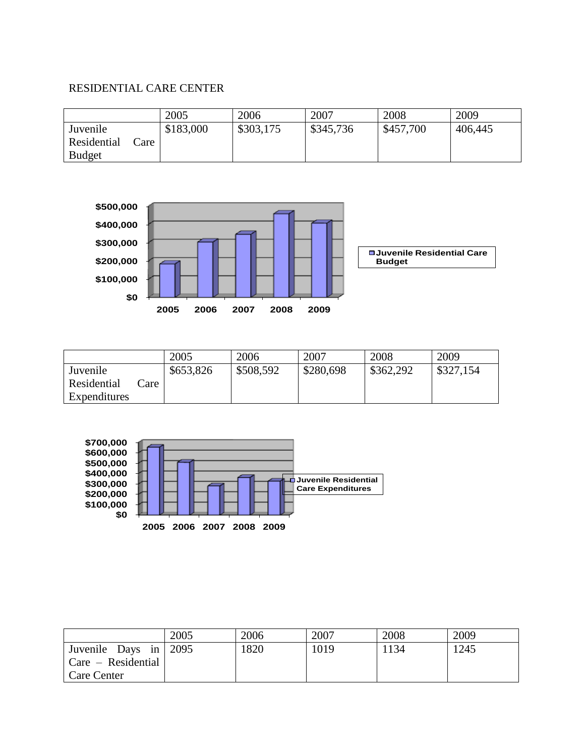## RESIDENTIAL CARE CENTER

|                                                  | 2005      | 2006      | 2007      | 2008      | 2009    |
|--------------------------------------------------|-----------|-----------|-----------|-----------|---------|
| Juvenile<br>Residential<br>Care<br><b>Budget</b> | \$183,000 | \$303,175 | \$345,736 | \$457,700 | 406,445 |



|              |      | 2005      | 2006      | 2007      | 2008      | 2009      |
|--------------|------|-----------|-----------|-----------|-----------|-----------|
| Juvenile     |      | \$653,826 | \$508,592 | \$280,698 | \$362,292 | \$327,154 |
| Residential  | Care |           |           |           |           |           |
| Expenditures |      |           |           |           |           |           |



|                                     | 2005 | 2006 | 2007 | 2008 | 2009 |
|-------------------------------------|------|------|------|------|------|
| Juvenile Days in $\vert 2095 \vert$ |      | 1820 | 1019 | 1134 | 1245 |
| $Care - Residental$                 |      |      |      |      |      |
| Care Center                         |      |      |      |      |      |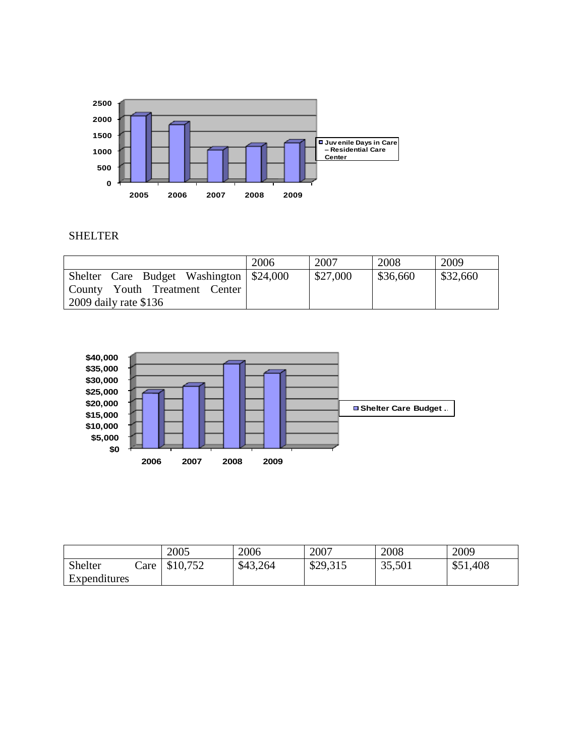

### SHELTER

|                                           | 2006 | 2007     | 2008     | 2009     |
|-------------------------------------------|------|----------|----------|----------|
| Shelter Care Budget Washington   \$24,000 |      | \$27,000 | \$36,660 | \$32,660 |
| County Youth Treatment Center             |      |          |          |          |
| $2009$ daily rate \$136                   |      |          |          |          |



|              |      | 2005     | 2006     | 2007     | 2008   | 2009     |
|--------------|------|----------|----------|----------|--------|----------|
| Shelter      | Care | \$10,752 | \$43,264 | \$29,315 | 35,501 | \$51,408 |
| Expenditures |      |          |          |          |        |          |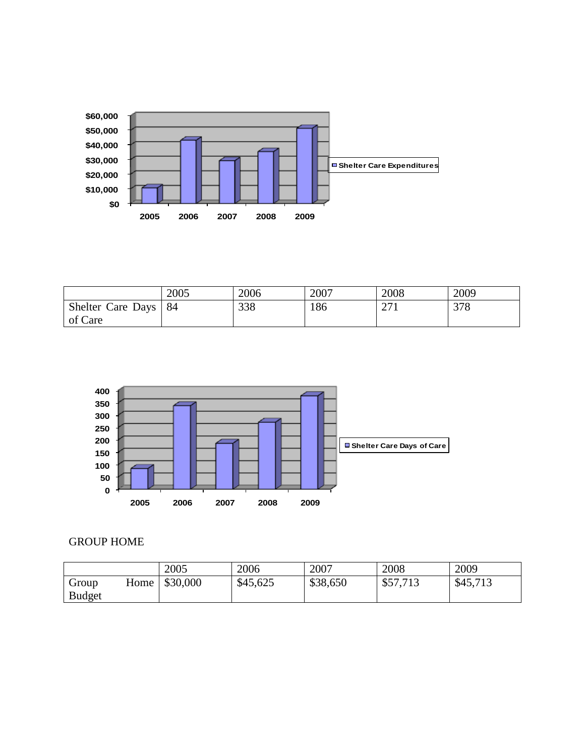

|                   | 2005 | 2006 | 2007 | 2008                 | 2009 |
|-------------------|------|------|------|----------------------|------|
| Shelter Care Days | 84   | 338  | 186  | $\sim$ $\sim$<br>211 | 378  |
| of Care           |      |      |      |                      |      |



# GROUP HOME

|               |      | 2005     | 2006     | 2007     | 2008     | 2009     |
|---------------|------|----------|----------|----------|----------|----------|
| Group         | Home | \$30,000 | \$45,625 | \$38,650 | \$57,713 | \$45,713 |
| <b>Budget</b> |      |          |          |          |          |          |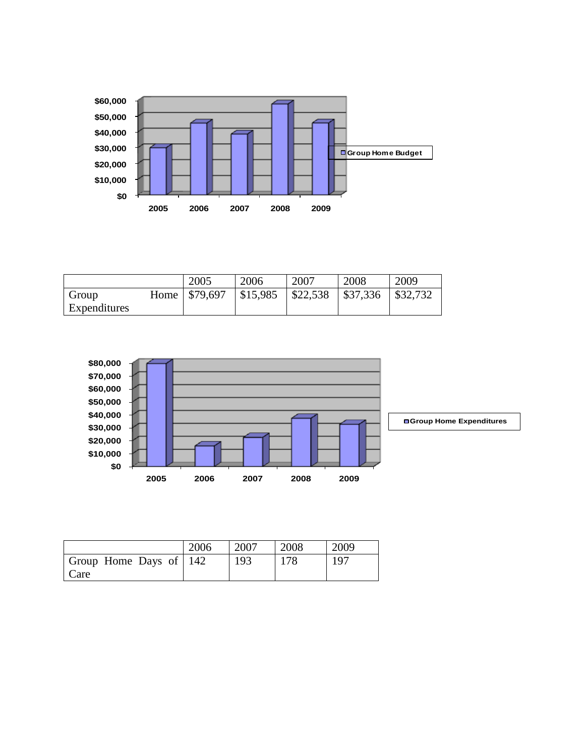

|              | 2005             | 2006     | 2007     | 2008     | 2009    |
|--------------|------------------|----------|----------|----------|---------|
| Group        | Home \ \\$79,697 | \$15,985 | \$22,538 | \$37,336 | 832,732 |
| Expenditures |                  |          |          |          |         |



|                                | 2006 | 2007 | 2008 | 2009 |
|--------------------------------|------|------|------|------|
| Group Home Days of 142<br>Care |      | 193  | 178  | 197  |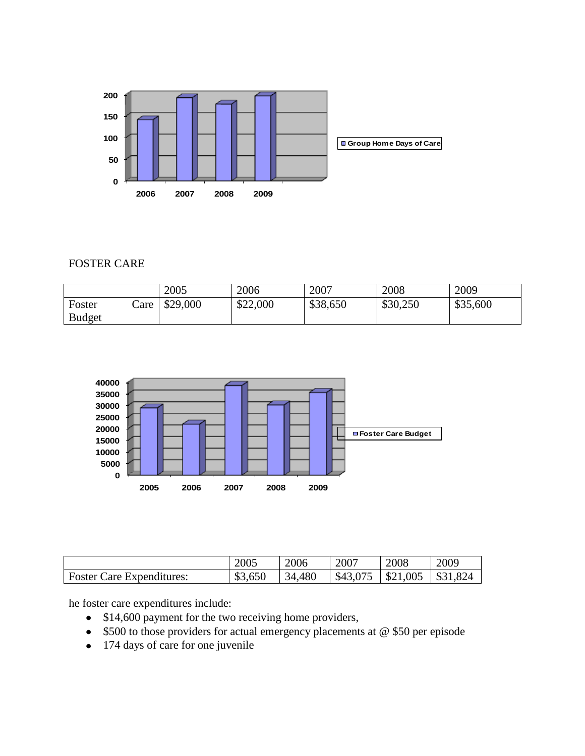

## FOSTER CARE

|               |      | 2005     | 2006     | 2007     | 2008     | 2009     |
|---------------|------|----------|----------|----------|----------|----------|
| Foster        | Care | \$29,000 | \$22,000 | \$38,650 | \$30,250 | \$35,600 |
| <b>Budget</b> |      |          |          |          |          |          |



|                                  | 2005    | 2006   | 2007     | 2008             | 2009          |
|----------------------------------|---------|--------|----------|------------------|---------------|
| <b>Foster Care Expenditures:</b> | \$3,650 | 34,480 | \$43,075 | $\vert$ \$21,005 | 1,824<br>\$31 |

he foster care expenditures include:

- \$14,600 payment for the two receiving home providers,  $\bullet$
- \$500 to those providers for actual emergency placements at @ \$50 per episode  $\bullet$
- 174 days of care for one juvenile $\bullet$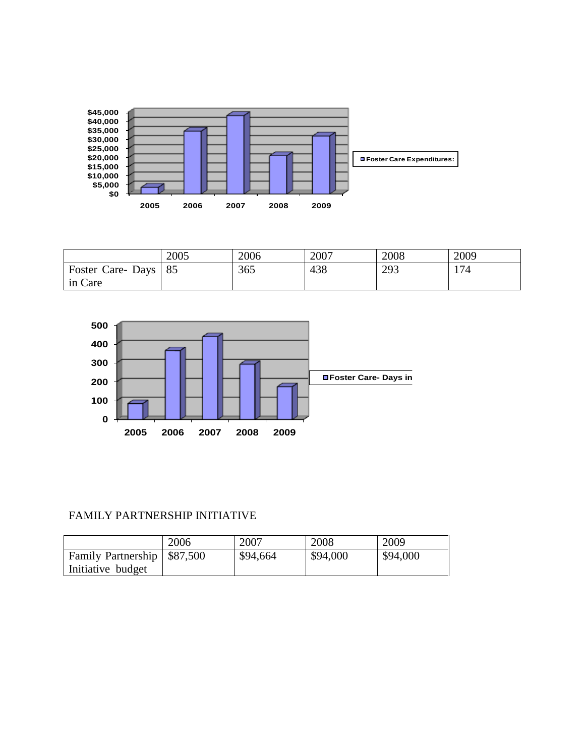

|                  | 2005 | 2006 | 2007 | 2008 | 2009 |
|------------------|------|------|------|------|------|
| Foster Care-Days | 85   | 365  | 438  | 293  | 174  |
| in Care          |      |      |      |      |      |



# FAMILY PARTNERSHIP INITIATIVE

|                               | 2006 | 2007     | 2008     | 2009     |
|-------------------------------|------|----------|----------|----------|
| Family Partnership \ \$87,500 |      | \$94,664 | \$94,000 | \$94,000 |
| Initiative budget             |      |          |          |          |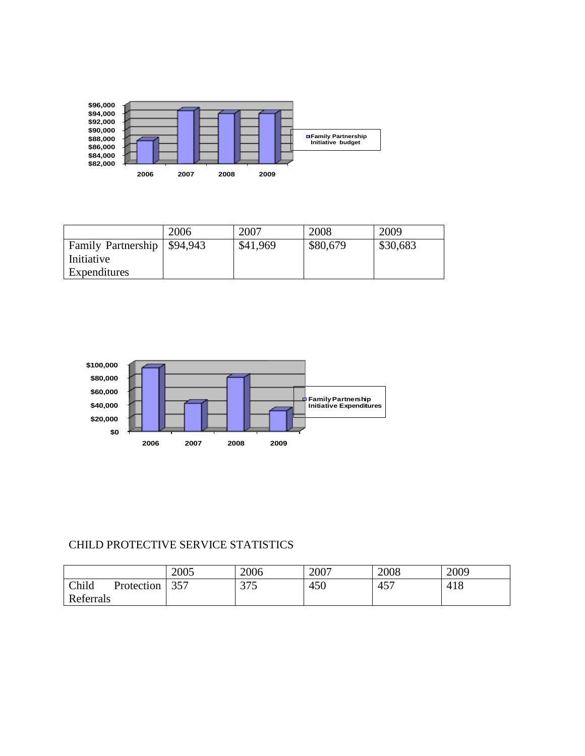

|                               | 2006 | 2007     | 2008     | 2009     |
|-------------------------------|------|----------|----------|----------|
| Family Partnership   \$94,943 |      | \$41,969 | \$80,679 | \$30,683 |
| Initiative                    |      |          |          |          |
| Expenditures                  |      |          |          |          |



# CHILD PROTECTIVE SERVICE STATISTICS

|                     | 2005 | 2006 | 2007 | 2008 | 2009 |
|---------------------|------|------|------|------|------|
| Child<br>Protection | 357  | 375  | 450  | 457  | 418  |
| Referrals           |      |      |      |      |      |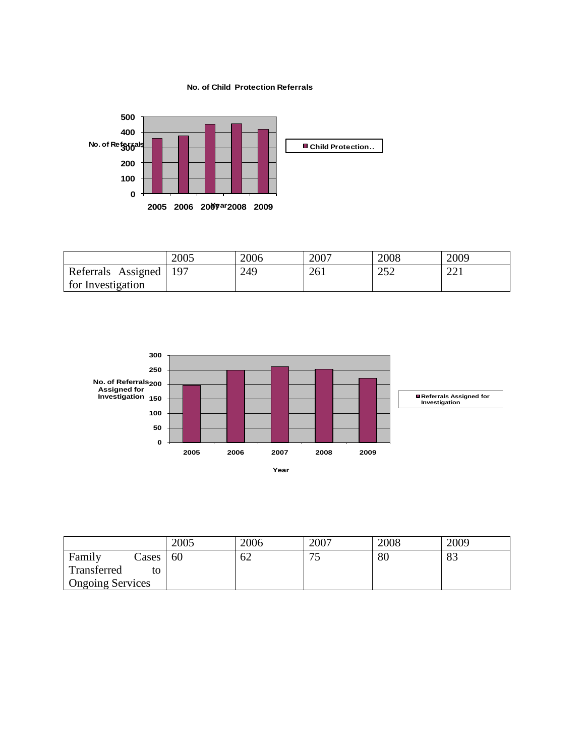**No. of Child Protection Referrals**



|                    | 2005 | 2006 | 2007 | 2008       | 2009               |
|--------------------|------|------|------|------------|--------------------|
| Referrals Assigned | 197  | 249  | 261  | າເາ<br>ے ب | $\bigcap$ 1<br>∠∠⊥ |
| for Investigation  |      |      |      |            |                    |



|                         | 2005 | 2006 | 2007     | 2008 | 2009 |
|-------------------------|------|------|----------|------|------|
| Family<br>ases          | 60   | 62   | ח ר<br>ر | 80   | 83   |
| Transferred<br>to       |      |      |          |      |      |
| <b>Ongoing Services</b> |      |      |          |      |      |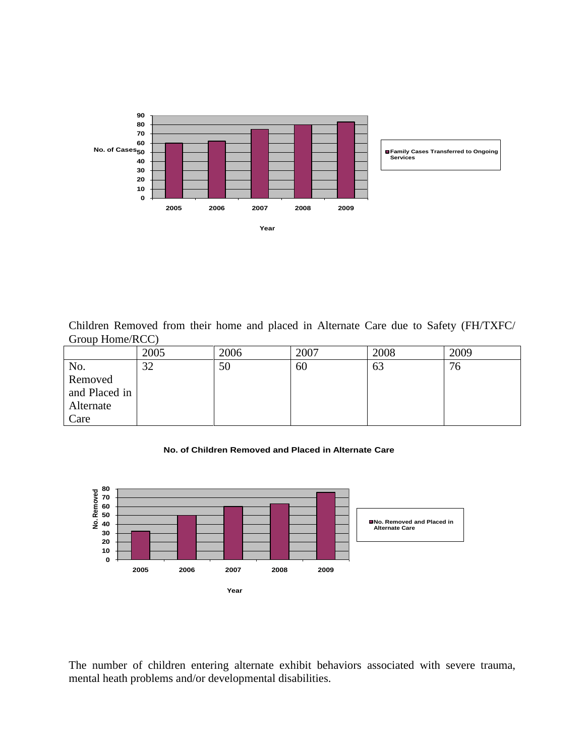

Children Removed from their home and placed in Alternate Care due to Safety (FH/TXFC/ Group Home/RCC)

|               | 2005 | 2006 | 2007 | 2008 | 2009 |
|---------------|------|------|------|------|------|
| No.           | 32   | 50   | 60   | 63   | 76   |
| Removed       |      |      |      |      |      |
| and Placed in |      |      |      |      |      |
| Alternate     |      |      |      |      |      |
| Care          |      |      |      |      |      |

**No. of Children Removed and Placed in Alternate Care**



The number of children entering alternate exhibit behaviors associated with severe trauma, mental heath problems and/or developmental disabilities.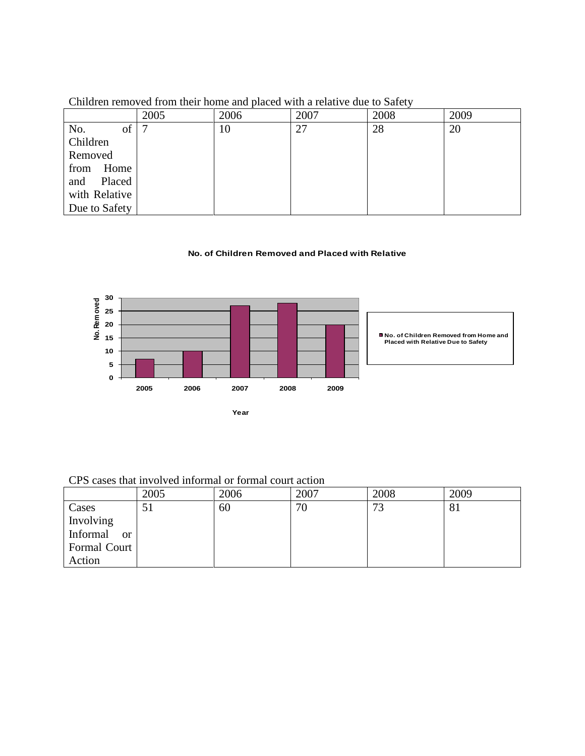|               | 2005 | 2006 | 2007 | 2008 | 2009 |
|---------------|------|------|------|------|------|
| of<br>No.     |      | 10   | 27   | 28   | 20   |
| Children      |      |      |      |      |      |
| Removed       |      |      |      |      |      |
| from<br>Home  |      |      |      |      |      |
| Placed<br>and |      |      |      |      |      |
| with Relative |      |      |      |      |      |
| Due to Safety |      |      |      |      |      |

Children removed from their home and placed with a relative due to Safety

#### **No. of Children Removed and Placed with Relative**



CPS cases that involved informal or formal court action

|                           | 2005 | 2006 | 2007 | 2008        | 2009 |
|---------------------------|------|------|------|-------------|------|
| Cases                     | 51   | 60   | 70   | $7^{\circ}$ | 81   |
| Involving                 |      |      |      |             |      |
| Informal<br><sub>or</sub> |      |      |      |             |      |
| Formal Court              |      |      |      |             |      |
| Action                    |      |      |      |             |      |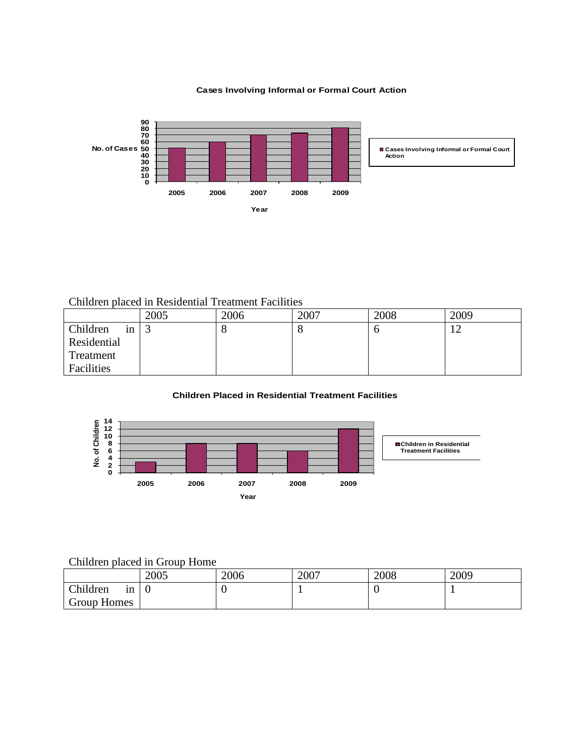**Cases Involving Informal or Formal Court Action**



## Children placed in Residential Treatment Facilities

|                | 2005 | 2006 | 2007 | 2008 | 2009           |
|----------------|------|------|------|------|----------------|
| Children<br>1n |      | O    | C.   |      | $\overline{1}$ |
| Residential    |      |      |      |      |                |
| Treatment      |      |      |      |      |                |
| Facilities     |      |      |      |      |                |

### **Children Placed in Residential Treatment Facilities**



## Children placed in Group Home

|                | 2005 | 2006 | 2007 | 2008 | 2009 |
|----------------|------|------|------|------|------|
| Children<br>1n |      | v    |      | ◡    |      |
| Group Homes    |      |      |      |      |      |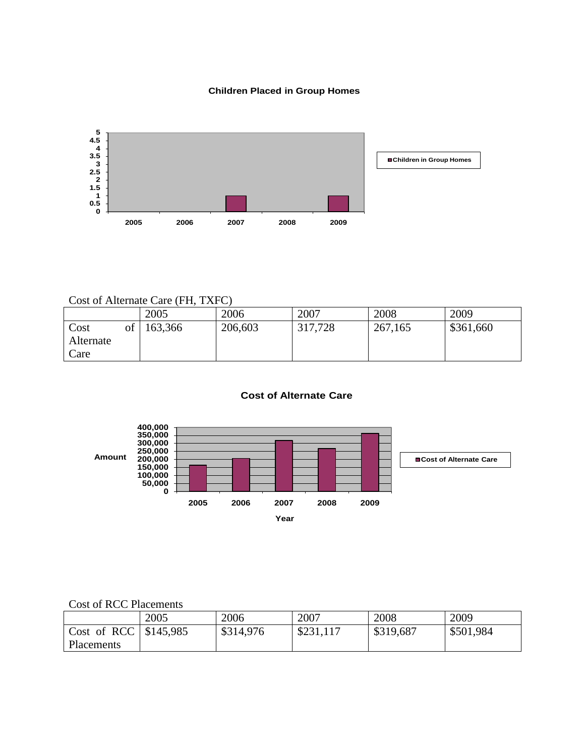## **Children Placed in Group Homes**



## Cost of Alternate Care (FH, TXFC)

|                                 | 2005    | 2006    | 2007    | 2008    | 2009      |
|---------------------------------|---------|---------|---------|---------|-----------|
| of<br>Cost<br>Alternate<br>Care | 163,366 | 206,603 | 317,728 | 267,165 | \$361,660 |

#### **Cost of Alternate Care**



### Cost of RCC Placements

|                         | 2005 | 2006      | 2007      | 2008      | 2009      |
|-------------------------|------|-----------|-----------|-----------|-----------|
| Cost of RCC   \$145,985 |      | \$314,976 | \$231,117 | \$319,687 | \$501,984 |
| Placements              |      |           |           |           |           |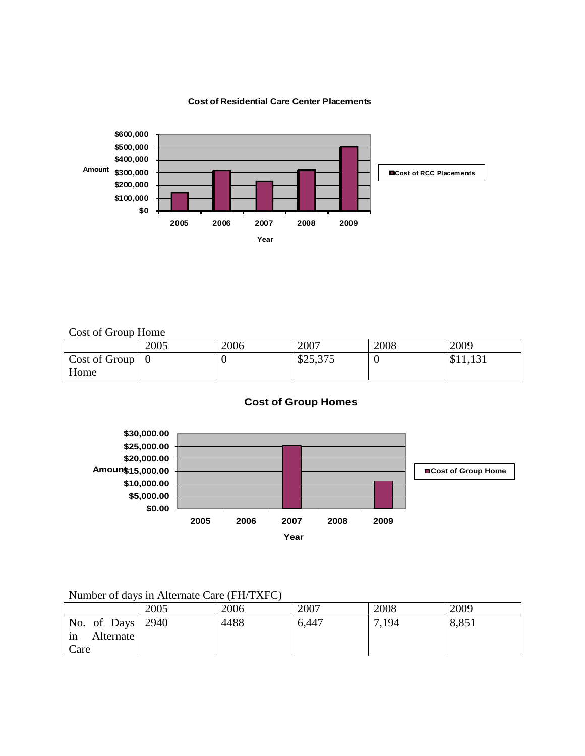#### **Cost of Residential Care Center Placements**



Cost of Group Home

|               | 2005 | 2006 | 2007     | 2008 | 2009     |
|---------------|------|------|----------|------|----------|
| Cost of Group |      | v    | \$25,375 |      | \$11,131 |
| Home          |      |      |          |      |          |

### **Cost of Group Homes**



# Number of days in Alternate Care (FH/TXFC)

|                 | 2005 | 2006 | 2007  | 2008  | 2009  |
|-----------------|------|------|-------|-------|-------|
| No. of Days     | 2940 | 4488 | 6,447 | 7,194 | 8,851 |
| Alternate<br>1n |      |      |       |       |       |
| Care            |      |      |       |       |       |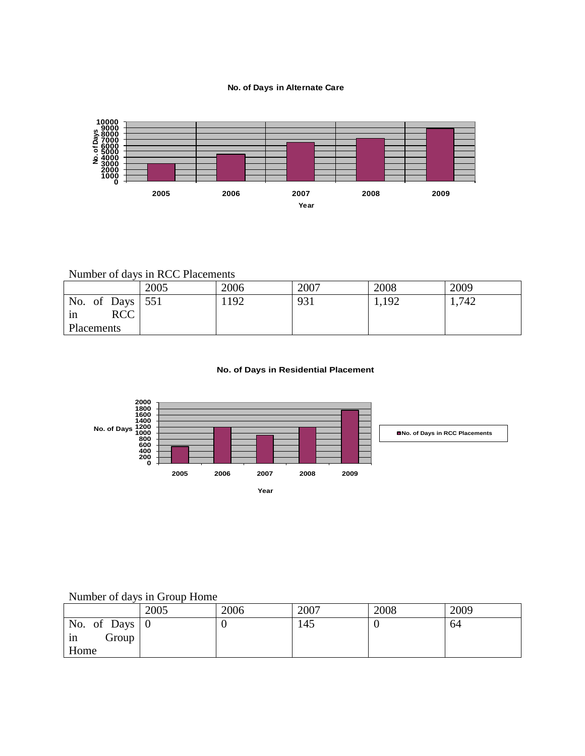#### **No. of Days in Alternate Care**



## Number of days in RCC Placements

|                    | 2005 | 2006 | 2007 | 2008  | 2009  |
|--------------------|------|------|------|-------|-------|
| No. of Days $ 551$ |      | 192  | 931  | 1,192 | 1,742 |
| <b>RCC</b><br>in   |      |      |      |       |       |
| Placements         |      |      |      |       |       |

#### **No. of Days in Residential Placement**



# Number of days in Group Home

|                             | 2005 | 2006 | 2007 | 2008 | 2009 |
|-----------------------------|------|------|------|------|------|
| No. of Days $\vert 0 \vert$ |      | ν    | 145  |      | 64   |
| Group<br>in                 |      |      |      |      |      |
| Home                        |      |      |      |      |      |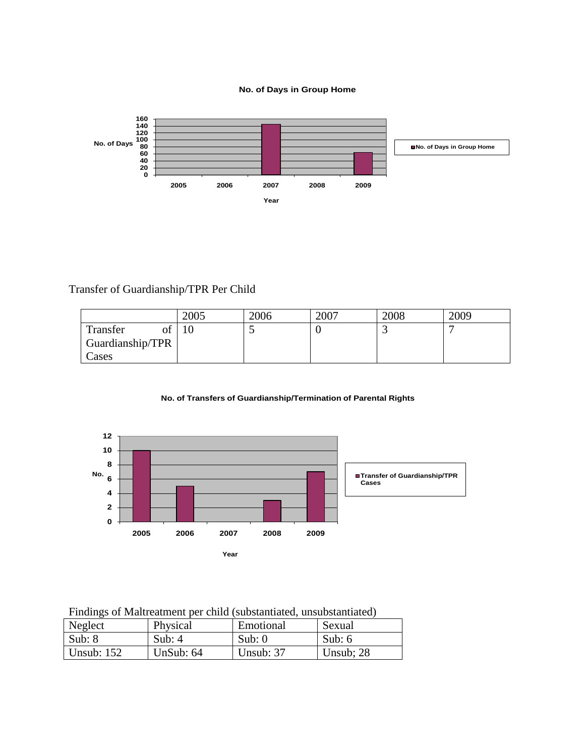#### **No. of Days in Group Home**



Transfer of Guardianship/TPR Per Child

|                  | 2005 | 2006 | 2007 | 2008 | 2009 |
|------------------|------|------|------|------|------|
| Transfer<br>vι   |      |      |      |      |      |
| Guardianship/TPR |      |      |      |      |      |
| Cases            |      |      |      |      |      |

#### **No. of Transfers of Guardianship/Termination of Parental Rights**



Findings of Maltreatment per child (substantiated, unsubstantiated)

| Neglect        | Physical    | Emotional | Sexual      |
|----------------|-------------|-----------|-------------|
| $\vert$ Sub: 8 | Sub: $4$    | Sub: $0$  | Sub: $6$    |
| Unsub: $152$   | UnSub: $64$ | Unsub: 37 | Unsub; $28$ |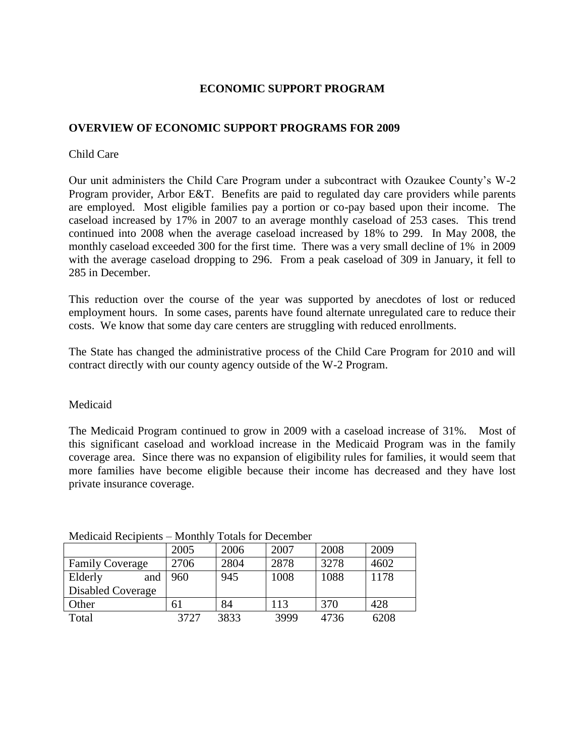## **ECONOMIC SUPPORT PROGRAM**

## **OVERVIEW OF ECONOMIC SUPPORT PROGRAMS FOR 2009**

## Child Care

Our unit administers the Child Care Program under a subcontract with Ozaukee County"s W-2 Program provider, Arbor E&T. Benefits are paid to regulated day care providers while parents are employed. Most eligible families pay a portion or co-pay based upon their income. The caseload increased by 17% in 2007 to an average monthly caseload of 253 cases. This trend continued into 2008 when the average caseload increased by 18% to 299. In May 2008, the monthly caseload exceeded 300 for the first time. There was a very small decline of 1% in 2009 with the average caseload dropping to 296. From a peak caseload of 309 in January, it fell to 285 in December.

This reduction over the course of the year was supported by anecdotes of lost or reduced employment hours. In some cases, parents have found alternate unregulated care to reduce their costs. We know that some day care centers are struggling with reduced enrollments.

The State has changed the administrative process of the Child Care Program for 2010 and will contract directly with our county agency outside of the W-2 Program.

## Medicaid

The Medicaid Program continued to grow in 2009 with a caseload increase of 31%. Most of this significant caseload and workload increase in the Medicaid Program was in the family coverage area. Since there was no expansion of eligibility rules for families, it would seem that more families have become eligible because their income has decreased and they have lost private insurance coverage.

| Medicald Recipients – Monthly Totals for December |      |      |      |      |      |  |
|---------------------------------------------------|------|------|------|------|------|--|
|                                                   | 2005 | 2006 | 2007 | 2008 | 2009 |  |
| <b>Family Coverage</b>                            | 2706 | 2804 | 2878 | 3278 | 4602 |  |
| Elderly<br>and                                    | 960  | 945  | 1008 | 1088 | 1178 |  |
| <b>Disabled Coverage</b>                          |      |      |      |      |      |  |
| Other                                             | 61   | 84   | 113  | 370  | 428  |  |
| Total                                             | 3727 | 3833 | 3999 | 4736 | 6208 |  |

### Medicaid Recipients – Monthly Totals for December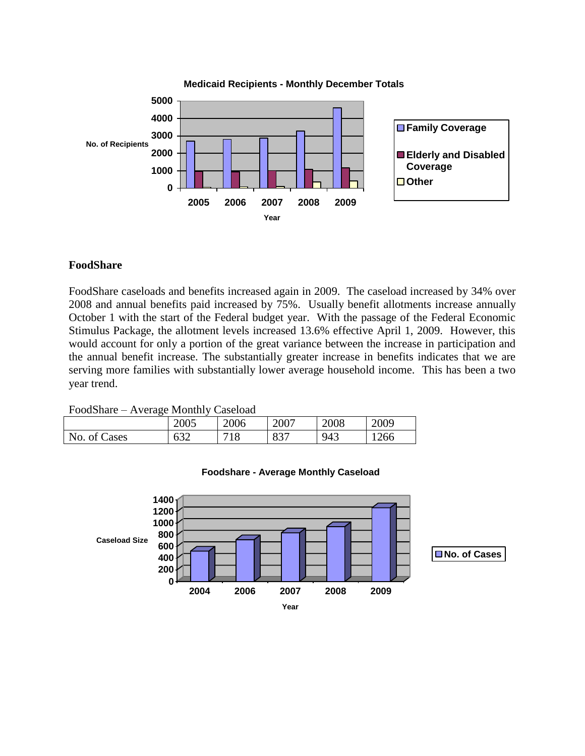

### **FoodShare**

FoodShare caseloads and benefits increased again in 2009. The caseload increased by 34% over 2008 and annual benefits paid increased by 75%. Usually benefit allotments increase annually October 1 with the start of the Federal budget year. With the passage of the Federal Economic Stimulus Package, the allotment levels increased 13.6% effective April 1, 2009. However, this would account for only a portion of the great variance between the increase in participation and the annual benefit increase. The substantially greater increase in benefits indicates that we are serving more families with substantially lower average household income. This has been a two year trend.

FoodShare – Average Monthly Caseload

| ີ            |            |      |            |      |      |
|--------------|------------|------|------------|------|------|
|              | 2005       | 2006 | 2007       | 2008 | 2009 |
| No. of Cases | 637<br>◡◡▱ | 718  | Q27<br>OJ. | 943  | 1266 |



### **Foodshare - Average Monthly Caseload**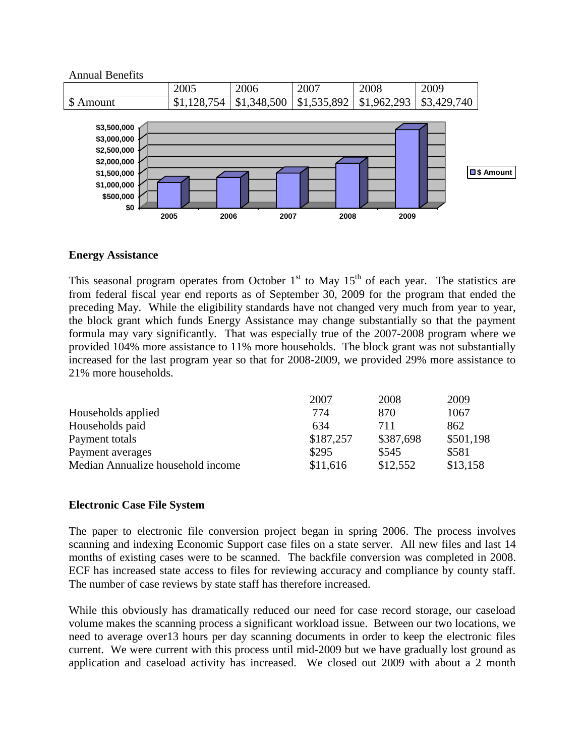

## **Energy Assistance**

This seasonal program operates from October  $1<sup>st</sup>$  to May  $15<sup>th</sup>$  of each year. The statistics are from federal fiscal year end reports as of September 30, 2009 for the program that ended the preceding May. While the eligibility standards have not changed very much from year to year, the block grant which funds Energy Assistance may change substantially so that the payment formula may vary significantly. That was especially true of the 2007-2008 program where we provided 104% more assistance to 11% more households. The block grant was not substantially increased for the last program year so that for 2008-2009, we provided 29% more assistance to 21% more households.

|                                   | 2007      | 2008      | 2009      |
|-----------------------------------|-----------|-----------|-----------|
| Households applied                | 774       | 870       | 1067      |
| Households paid                   | 634       | 711       | 862       |
| Payment totals                    | \$187,257 | \$387,698 | \$501,198 |
| Payment averages                  | \$295     | \$545     | \$581     |
| Median Annualize household income | \$11,616  | \$12,552  | \$13,158  |

## **Electronic Case File System**

The paper to electronic file conversion project began in spring 2006. The process involves scanning and indexing Economic Support case files on a state server. All new files and last 14 months of existing cases were to be scanned. The backfile conversion was completed in 2008. ECF has increased state access to files for reviewing accuracy and compliance by county staff. The number of case reviews by state staff has therefore increased.

While this obviously has dramatically reduced our need for case record storage, our caseload volume makes the scanning process a significant workload issue. Between our two locations, we need to average over13 hours per day scanning documents in order to keep the electronic files current. We were current with this process until mid-2009 but we have gradually lost ground as application and caseload activity has increased. We closed out 2009 with about a 2 month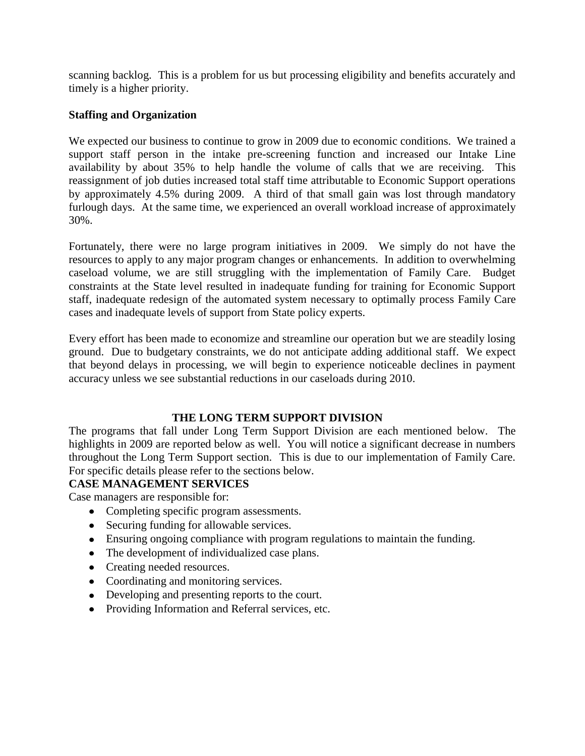scanning backlog. This is a problem for us but processing eligibility and benefits accurately and timely is a higher priority.

## **Staffing and Organization**

We expected our business to continue to grow in 2009 due to economic conditions. We trained a support staff person in the intake pre-screening function and increased our Intake Line availability by about 35% to help handle the volume of calls that we are receiving. This reassignment of job duties increased total staff time attributable to Economic Support operations by approximately 4.5% during 2009. A third of that small gain was lost through mandatory furlough days. At the same time, we experienced an overall workload increase of approximately 30%.

Fortunately, there were no large program initiatives in 2009. We simply do not have the resources to apply to any major program changes or enhancements. In addition to overwhelming caseload volume, we are still struggling with the implementation of Family Care. Budget constraints at the State level resulted in inadequate funding for training for Economic Support staff, inadequate redesign of the automated system necessary to optimally process Family Care cases and inadequate levels of support from State policy experts.

Every effort has been made to economize and streamline our operation but we are steadily losing ground. Due to budgetary constraints, we do not anticipate adding additional staff. We expect that beyond delays in processing, we will begin to experience noticeable declines in payment accuracy unless we see substantial reductions in our caseloads during 2010.

## **THE LONG TERM SUPPORT DIVISION**

The programs that fall under Long Term Support Division are each mentioned below. The highlights in 2009 are reported below as well. You will notice a significant decrease in numbers throughout the Long Term Support section. This is due to our implementation of Family Care. For specific details please refer to the sections below.

## **CASE MANAGEMENT SERVICES**

Case managers are responsible for:

- Completing specific program assessments.
- Securing funding for allowable services.
- Ensuring ongoing compliance with program regulations to maintain the funding.
- The development of individualized case plans.
- Creating needed resources.
- Coordinating and monitoring services.
- Developing and presenting reports to the court.
- Providing Information and Referral services, etc.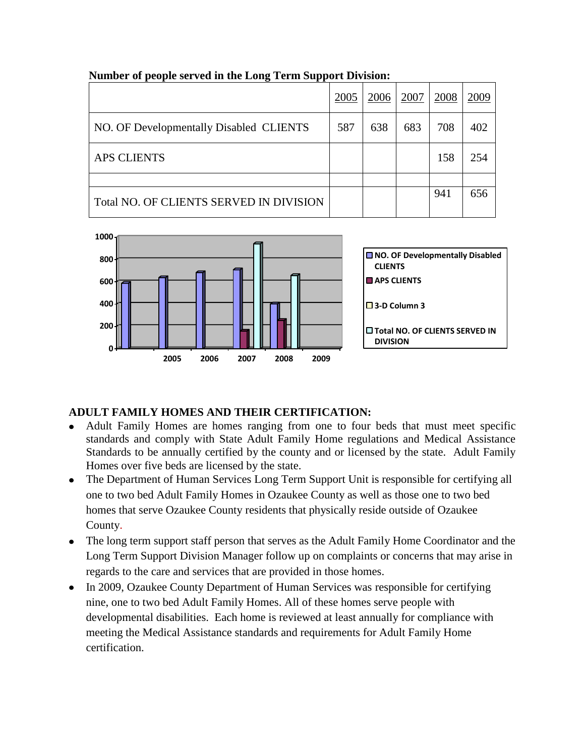|                                         | 2005 | 2006 | 2007 | 2008 | 2009 |
|-----------------------------------------|------|------|------|------|------|
| NO. OF Developmentally Disabled CLIENTS | 587  | 638  | 683  | 708  | 402  |
| <b>APS CLIENTS</b>                      |      |      |      | 158  | 254  |
|                                         |      |      |      |      |      |
| Total NO. OF CLIENTS SERVED IN DIVISION |      |      |      | 941  | 656  |

## **Number of people served in the Long Term Support Division:**



# **ADULT FAMILY HOMES AND THEIR CERTIFICATION:**

- Adult Family Homes are homes ranging from one to four beds that must meet specific standards and comply with State Adult Family Home regulations and Medical Assistance Standards to be annually certified by the county and or licensed by the state. Adult Family Homes over five beds are licensed by the state.
- The Department of Human Services Long Term Support Unit is responsible for certifying all one to two bed Adult Family Homes in Ozaukee County as well as those one to two bed homes that serve Ozaukee County residents that physically reside outside of Ozaukee County.
- The long term support staff person that serves as the Adult Family Home Coordinator and the Long Term Support Division Manager follow up on complaints or concerns that may arise in regards to the care and services that are provided in those homes.
- In 2009, Ozaukee County Department of Human Services was responsible for certifying nine, one to two bed Adult Family Homes. All of these homes serve people with developmental disabilities. Each home is reviewed at least annually for compliance with meeting the Medical Assistance standards and requirements for Adult Family Home certification.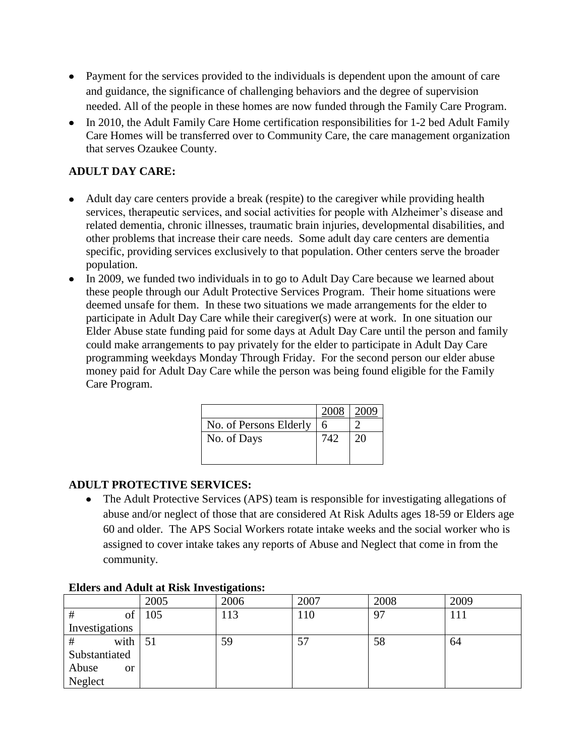- Payment for the services provided to the individuals is dependent upon the amount of care and guidance, the significance of challenging behaviors and the degree of supervision needed. All of the people in these homes are now funded through the Family Care Program.
- In 2010, the Adult Family Care Home certification responsibilities for 1-2 bed Adult Family Care Homes will be transferred over to Community Care, the care management organization that serves Ozaukee County.

# **ADULT DAY CARE:**

- Adult day care centers provide a break (respite) to the caregiver while providing health services, therapeutic services, and social activities for people with Alzheimer's disease and related dementia, chronic illnesses, traumatic brain injuries, developmental disabilities, and other problems that increase their care needs. Some adult day care centers are dementia specific, providing services exclusively to that population. Other centers serve the broader population.
- In 2009, we funded two individuals in to go to Adult Day Care because we learned about these people through our Adult Protective Services Program. Their home situations were deemed unsafe for them. In these two situations we made arrangements for the elder to participate in Adult Day Care while their caregiver(s) were at work. In one situation our Elder Abuse state funding paid for some days at Adult Day Care until the person and family could make arrangements to pay privately for the elder to participate in Adult Day Care programming weekdays Monday Through Friday. For the second person our elder abuse money paid for Adult Day Care while the person was being found eligible for the Family Care Program.

| 2008 |    |
|------|----|
|      |    |
| 742  | 20 |
|      |    |
|      |    |

# **ADULT PROTECTIVE SERVICES:**

The Adult Protective Services (APS) team is responsible for investigating allegations of  $\bullet$ abuse and/or neglect of those that are considered At Risk Adults ages 18-59 or Elders age 60 and older. The APS Social Workers rotate intake weeks and the social worker who is assigned to cover intake takes any reports of Abuse and Neglect that come in from the community.

|                    | 2005 | 2006 | 2007 | 2008 | 2009 |
|--------------------|------|------|------|------|------|
| of<br>#            | 105  | 13   | 110  | 97   | 111  |
| Investigations     |      |      |      |      |      |
| with<br>#          | 51   | 59   | 57   | 58   | 64   |
| Substantiated      |      |      |      |      |      |
| Abuse<br><b>or</b> |      |      |      |      |      |
| Neglect            |      |      |      |      |      |

## **Elders and Adult at Risk Investigations:**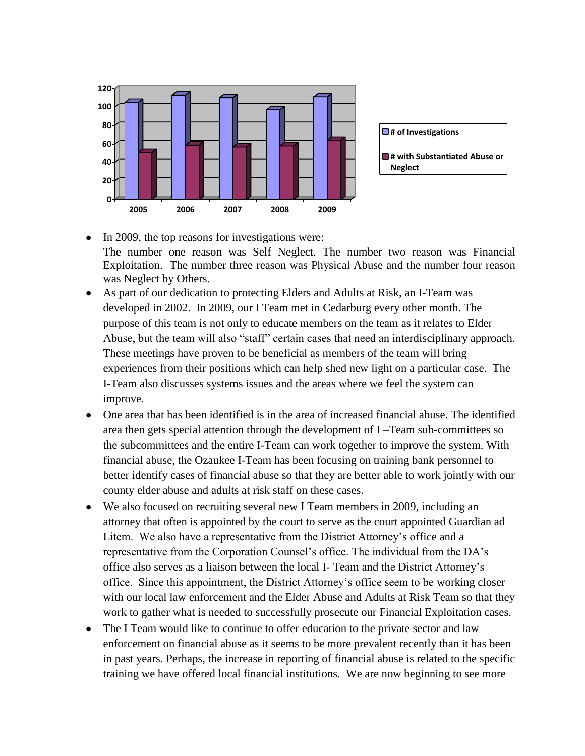

- In 2009, the top reasons for investigations were: The number one reason was Self Neglect. The number two reason was Financial Exploitation. The number three reason was Physical Abuse and the number four reason was Neglect by Others.
- As part of our dedication to protecting Elders and Adults at Risk, an I-Team was developed in 2002. In 2009, our I Team met in Cedarburg every other month. The purpose of this team is not only to educate members on the team as it relates to Elder Abuse, but the team will also "staff" certain cases that need an interdisciplinary approach. These meetings have proven to be beneficial as members of the team will bring experiences from their positions which can help shed new light on a particular case. The I-Team also discusses systems issues and the areas where we feel the system can improve.
- One area that has been identified is in the area of increased financial abuse. The identified area then gets special attention through the development of I –Team sub-committees so the subcommittees and the entire I-Team can work together to improve the system. With financial abuse, the Ozaukee I-Team has been focusing on training bank personnel to better identify cases of financial abuse so that they are better able to work jointly with our county elder abuse and adults at risk staff on these cases.
- We also focused on recruiting several new I Team members in 2009, including an attorney that often is appointed by the court to serve as the court appointed Guardian ad Litem. We also have a representative from the District Attorney"s office and a representative from the Corporation Counsel"s office. The individual from the DA"s office also serves as a liaison between the local I- Team and the District Attorney"s office. Since this appointment, the District Attorney"s office seem to be working closer with our local law enforcement and the Elder Abuse and Adults at Risk Team so that they work to gather what is needed to successfully prosecute our Financial Exploitation cases.
- The I Team would like to continue to offer education to the private sector and law enforcement on financial abuse as it seems to be more prevalent recently than it has been in past years. Perhaps, the increase in reporting of financial abuse is related to the specific training we have offered local financial institutions. We are now beginning to see more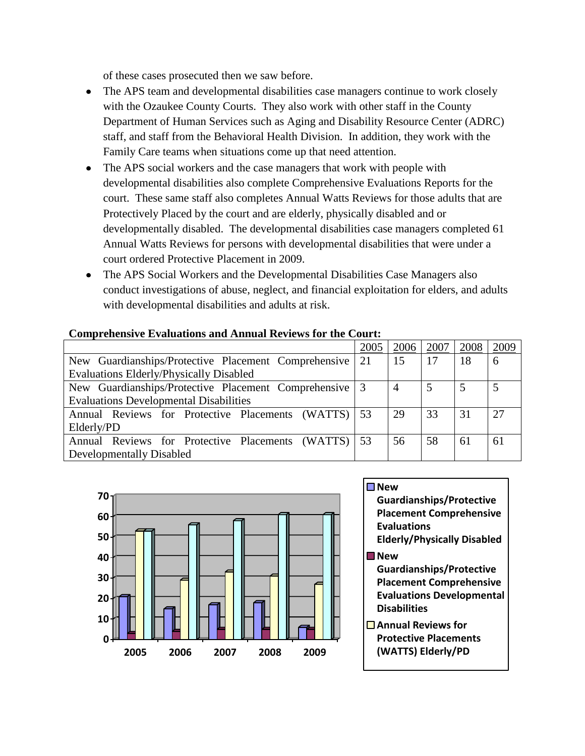of these cases prosecuted then we saw before.

- The APS team and developmental disabilities case managers continue to work closely  $\bullet$ with the Ozaukee County Courts. They also work with other staff in the County Department of Human Services such as Aging and Disability Resource Center (ADRC) staff, and staff from the Behavioral Health Division. In addition, they work with the Family Care teams when situations come up that need attention.
- The APS social workers and the case managers that work with people with developmental disabilities also complete Comprehensive Evaluations Reports for the court. These same staff also completes Annual Watts Reviews for those adults that are Protectively Placed by the court and are elderly, physically disabled and or developmentally disabled. The developmental disabilities case managers completed 61 Annual Watts Reviews for persons with developmental disabilities that were under a court ordered Protective Placement in 2009.
- The APS Social Workers and the Developmental Disabilities Case Managers also conduct investigations of abuse, neglect, and financial exploitation for elders, and adults with developmental disabilities and adults at risk.

| Complemente Lauguage and Amidal inclusive to the Coultr |      |      |      |      |      |
|---------------------------------------------------------|------|------|------|------|------|
|                                                         | 2005 | 2006 | 2007 | 2008 | 2009 |
| New Guardianships/Protective Placement Comprehensive    | 21   | 15   | 17   | 18   | 6    |
| <b>Evaluations Elderly/Physically Disabled</b>          |      |      |      |      |      |
| New Guardianships/Protective Placement Comprehensive    |      | 4    | 5    |      | 5    |
| <b>Evaluations Developmental Disabilities</b>           |      |      |      |      |      |
| Annual Reviews for Protective Placements (WATTS)        | 53   | 29   | 33   | 31   | 27   |
| Elderly/PD                                              |      |      |      |      |      |
| Annual Reviews for Protective Placements (WATTS)        | 53   | 56   | 58   | 61   | 61   |
| Developmentally Disabled                                |      |      |      |      |      |

### **Comprehensive Evaluations and Annual Reviews for the Court:**



# **New Guardianships/Protective**

**Disabilities**

- **Placement Comprehensive Evaluations Elderly/Physically Disabled New Guardianships/Protective Placement Comprehensive Evaluations Developmental**
- **Annual Reviews for Protective Placements (WATTS) Elderly/PD**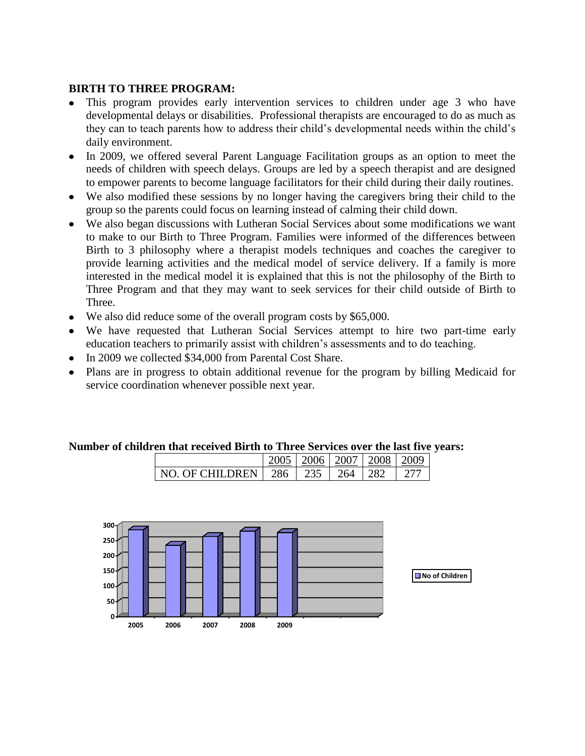## **BIRTH TO THREE PROGRAM:**

- This program provides early intervention services to children under age 3 who have developmental delays or disabilities. Professional therapists are encouraged to do as much as they can to teach parents how to address their child"s developmental needs within the child"s daily environment.
- In 2009, we offered several Parent Language Facilitation groups as an option to meet the needs of children with speech delays. Groups are led by a speech therapist and are designed to empower parents to become language facilitators for their child during their daily routines.
- We also modified these sessions by no longer having the caregivers bring their child to the group so the parents could focus on learning instead of calming their child down.
- We also began discussions with Lutheran Social Services about some modifications we want to make to our Birth to Three Program. Families were informed of the differences between Birth to 3 philosophy where a therapist models techniques and coaches the caregiver to provide learning activities and the medical model of service delivery. If a family is more interested in the medical model it is explained that this is not the philosophy of the Birth to Three Program and that they may want to seek services for their child outside of Birth to Three.
- We also did reduce some of the overall program costs by \$65,000.
- We have requested that Lutheran Social Services attempt to hire two part-time early education teachers to primarily assist with children"s assessments and to do teaching.
- In 2009 we collected \$34,000 from Parental Cost Share.
- Plans are in progress to obtain additional revenue for the program by billing Medicaid for service coordination whenever possible next year.

## **Number of children that received Birth to Three Services over the last five years:**

|                                        |  | $\pm$ 2006 $\pm$ 2007 $\pm$ 2008 $\pm$ 2009 |  |
|----------------------------------------|--|---------------------------------------------|--|
| NO OF CHILDREN   286   235   264   282 |  |                                             |  |

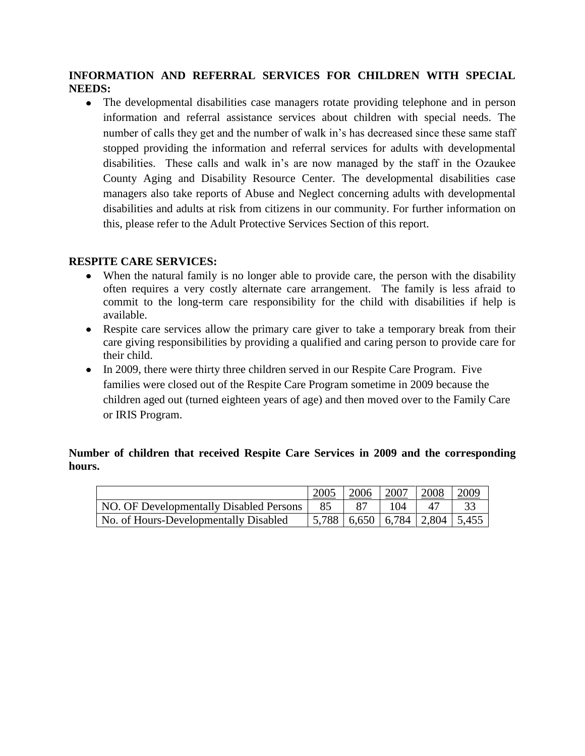## **INFORMATION AND REFERRAL SERVICES FOR CHILDREN WITH SPECIAL NEEDS:**

• The developmental disabilities case managers rotate providing telephone and in person information and referral assistance services about children with special needs. The number of calls they get and the number of walk in"s has decreased since these same staff stopped providing the information and referral services for adults with developmental disabilities. These calls and walk in"s are now managed by the staff in the Ozaukee County Aging and Disability Resource Center. The developmental disabilities case managers also take reports of Abuse and Neglect concerning adults with developmental disabilities and adults at risk from citizens in our community. For further information on this, please refer to the Adult Protective Services Section of this report.

## **RESPITE CARE SERVICES:**

- When the natural family is no longer able to provide care, the person with the disability often requires a very costly alternate care arrangement. The family is less afraid to commit to the long-term care responsibility for the child with disabilities if help is available.
- Respite care services allow the primary care giver to take a temporary break from their care giving responsibilities by providing a qualified and caring person to provide care for their child.
- In 2009, there were thirty three children served in our Respite Care Program. Five families were closed out of the Respite Care Program sometime in 2009 because the children aged out (turned eighteen years of age) and then moved over to the Family Care or IRIS Program.

## **Number of children that received Respite Care Services in 2009 and the corresponding hours.**

|                                         | 2005                                         | 2006 | 2007 | 2008 | 2009 |
|-----------------------------------------|----------------------------------------------|------|------|------|------|
| NO. OF Developmentally Disabled Persons | 85                                           | -87  | 104  | 47   |      |
| No. of Hours-Developmentally Disabled   | $\mid$ 5,788   6,650   6,784   2,804   5,455 |      |      |      |      |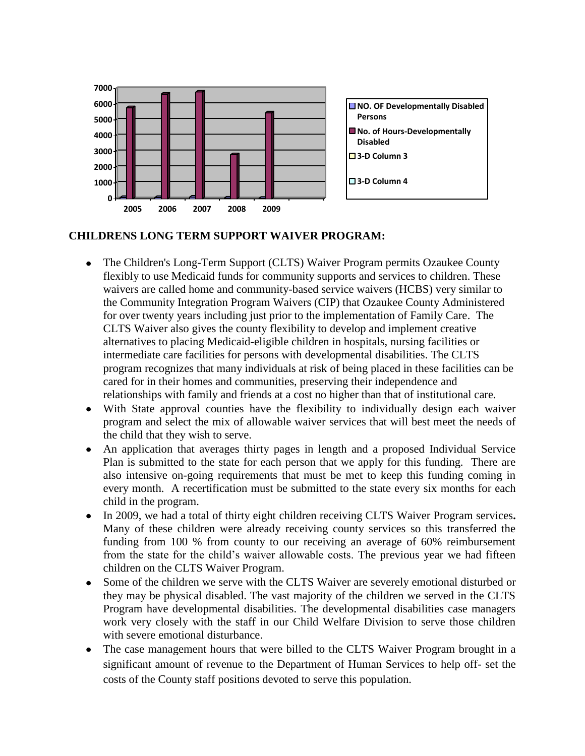

## **CHILDRENS LONG TERM SUPPORT WAIVER PROGRAM:**

- The Children's Long-Term Support (CLTS) Waiver Program permits Ozaukee County flexibly to use Medicaid funds for community supports and services to children. These waivers are called home and community-based service waivers (HCBS) very similar to the Community Integration Program Waivers (CIP) that Ozaukee County Administered for over twenty years including just prior to the implementation of Family Care. The CLTS Waiver also gives the county flexibility to develop and implement creative alternatives to placing Medicaid-eligible children in hospitals, nursing facilities or intermediate care facilities for persons with developmental disabilities. The CLTS program recognizes that many individuals at risk of being placed in these facilities can be cared for in their homes and communities, preserving their independence and relationships with family and friends at a cost no higher than that of institutional care.
- With State approval counties have the flexibility to individually design each waiver program and select the mix of allowable waiver services that will best meet the needs of the child that they wish to serve.
- An application that averages thirty pages in length and a proposed Individual Service Plan is submitted to the state for each person that we apply for this funding. There are also intensive on-going requirements that must be met to keep this funding coming in every month. A recertification must be submitted to the state every six months for each child in the program.
- In 2009, we had a total of thirty eight children receiving CLTS Waiver Program services**.**  Many of these children were already receiving county services so this transferred the funding from 100 % from county to our receiving an average of 60% reimbursement from the state for the child"s waiver allowable costs. The previous year we had fifteen children on the CLTS Waiver Program.
- Some of the children we serve with the CLTS Waiver are severely emotional disturbed or they may be physical disabled. The vast majority of the children we served in the CLTS Program have developmental disabilities. The developmental disabilities case managers work very closely with the staff in our Child Welfare Division to serve those children with severe emotional disturbance.
- The case management hours that were billed to the CLTS Waiver Program brought in a significant amount of revenue to the Department of Human Services to help off- set the costs of the County staff positions devoted to serve this population.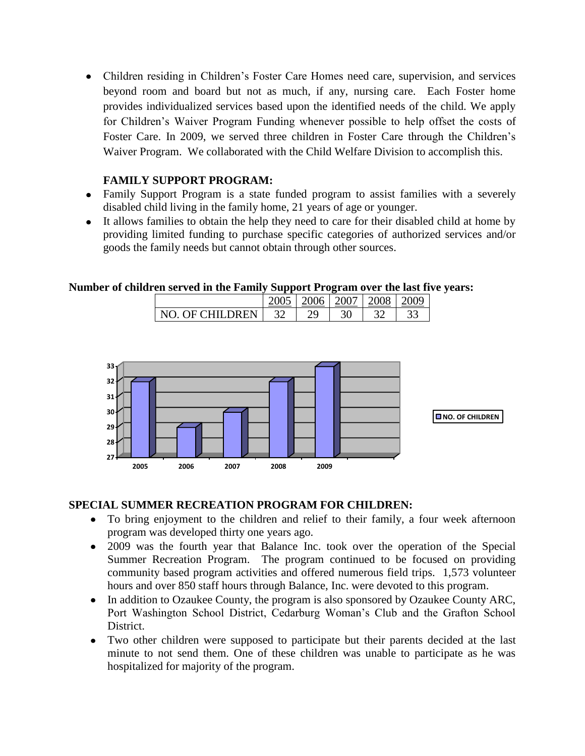Children residing in Children"s Foster Care Homes need care, supervision, and services beyond room and board but not as much, if any, nursing care. Each Foster home provides individualized services based upon the identified needs of the child. We apply for Children"s Waiver Program Funding whenever possible to help offset the costs of Foster Care. In 2009, we served three children in Foster Care through the Children"s Waiver Program. We collaborated with the Child Welfare Division to accomplish this.

## **FAMILY SUPPORT PROGRAM:**

- Family Support Program is a state funded program to assist families with a severely disabled child living in the family home, 21 years of age or younger.
- It allows families to obtain the help they need to care for their disabled child at home by providing limited funding to purchase specific categories of authorized services and/or goods the family needs but cannot obtain through other sources.

## **Number of children served in the Family Support Program over the last five years:**

|                |  | 2006   2007 | 2008 | 200a |
|----------------|--|-------------|------|------|
| NO OF CHILDREN |  |             |      |      |



# **SPECIAL SUMMER RECREATION PROGRAM FOR CHILDREN:**

- To bring enjoyment to the children and relief to their family, a four week afternoon program was developed thirty one years ago.
- 2009 was the fourth year that Balance Inc. took over the operation of the Special Summer Recreation Program. The program continued to be focused on providing community based program activities and offered numerous field trips. 1,573 volunteer hours and over 850 staff hours through Balance, Inc. were devoted to this program.
- In addition to Ozaukee County, the program is also sponsored by Ozaukee County ARC,  $\bullet$ Port Washington School District, Cedarburg Woman"s Club and the Grafton School District.
- $\bullet$ Two other children were supposed to participate but their parents decided at the last minute to not send them. One of these children was unable to participate as he was hospitalized for majority of the program.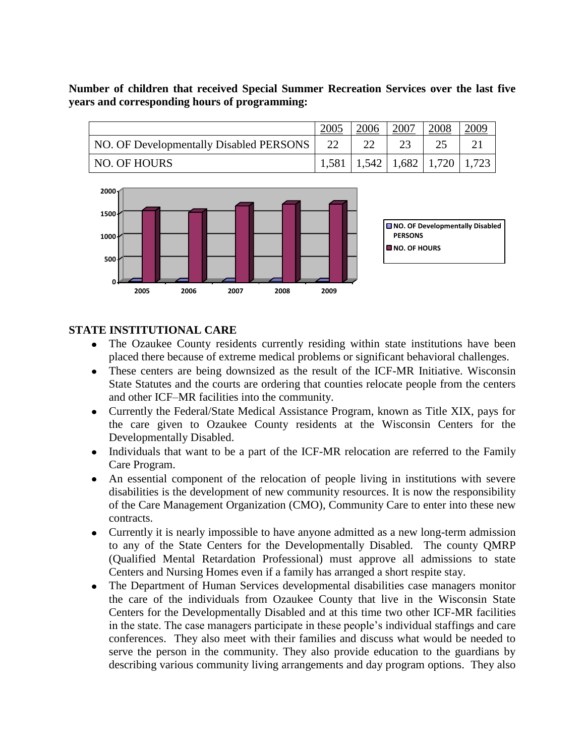## **Number of children that received Special Summer Recreation Services over the last five years and corresponding hours of programming:**

|                                         |    | 2006 | 2007 | 2008 | 2009                                                             |
|-----------------------------------------|----|------|------|------|------------------------------------------------------------------|
| NO. OF Developmentally Disabled PERSONS | 22 |      |      |      |                                                                  |
| NO. OF HOURS                            |    |      |      |      | $\mid$ 1,581 $\mid$ 1,542 $\mid$ 1,682 $\mid$ 1,720 $\mid$ 1,723 |



## **STATE INSTITUTIONAL CARE**

- The Ozaukee County residents currently residing within state institutions have been placed there because of extreme medical problems or significant behavioral challenges.
- These centers are being downsized as the result of the ICF-MR Initiative. Wisconsin  $\bullet$ State Statutes and the courts are ordering that counties relocate people from the centers and other ICF–MR facilities into the community.
- Currently the Federal/State Medical Assistance Program, known as Title XIX, pays for  $\bullet$ the care given to Ozaukee County residents at the Wisconsin Centers for the Developmentally Disabled.
- Individuals that want to be a part of the ICF-MR relocation are referred to the Family  $\bullet$ Care Program.
- $\bullet$ An essential component of the relocation of people living in institutions with severe disabilities is the development of new community resources. It is now the responsibility of the Care Management Organization (CMO), Community Care to enter into these new contracts.
- Currently it is nearly impossible to have anyone admitted as a new long-term admission to any of the State Centers for the Developmentally Disabled. The county QMRP (Qualified Mental Retardation Professional) must approve all admissions to state Centers and Nursing Homes even if a family has arranged a short respite stay.
- The Department of Human Services developmental disabilities case managers monitor  $\bullet$ the care of the individuals from Ozaukee County that live in the Wisconsin State Centers for the Developmentally Disabled and at this time two other ICF-MR facilities in the state. The case managers participate in these people"s individual staffings and care conferences. They also meet with their families and discuss what would be needed to serve the person in the community. They also provide education to the guardians by describing various community living arrangements and day program options. They also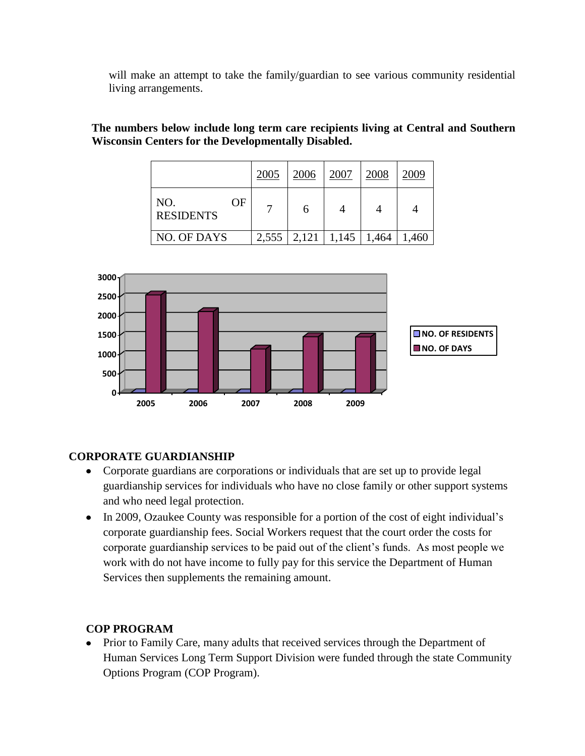will make an attempt to take the family/guardian to see various community residential living arrangements.

## **The numbers below include long term care recipients living at Central and Southern Wisconsin Centers for the Developmentally Disabled.**

|                               | 2005  | 2006  | 2007  | 2008  | 2009  |
|-------------------------------|-------|-------|-------|-------|-------|
| NO.<br>OF<br><b>RESIDENTS</b> |       | h     | 4     |       |       |
| NO. OF DAYS                   | 2,555 | 2,121 | 1,145 | 1,464 | 1,460 |



# **CORPORATE GUARDIANSHIP**

- Corporate guardians are corporations or individuals that are set up to provide legal guardianship services for individuals who have no close family or other support systems and who need legal protection.
- In 2009, Ozaukee County was responsible for a portion of the cost of eight individual's corporate guardianship fees. Social Workers request that the court order the costs for corporate guardianship services to be paid out of the client"s funds. As most people we work with do not have income to fully pay for this service the Department of Human Services then supplements the remaining amount.

# **COP PROGRAM**

Prior to Family Care, many adults that received services through the Department of Human Services Long Term Support Division were funded through the state Community Options Program (COP Program).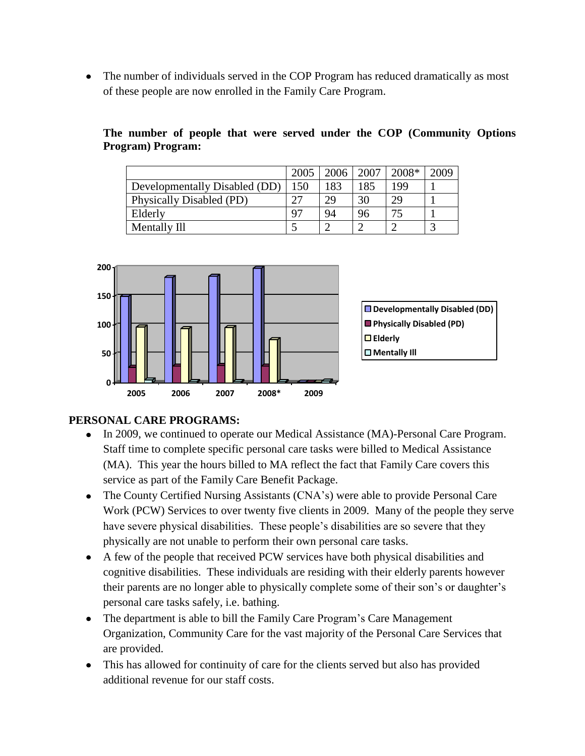The number of individuals served in the COP Program has reduced dramatically as most of these people are now enrolled in the Family Care Program.

|                               | 2005 | 2006 | 2007   | 2008* | 2009       |
|-------------------------------|------|------|--------|-------|------------|
| Developmentally Disabled (DD) | 150  | 183  | 185    | 199   |            |
| Physically Disabled (PD)      | つワ   | 29   | 30     | 29    |            |
| Elderly                       | Q7   | 94   | 96     | 75    |            |
| Mentally Ill                  |      |      | $\sim$ |       | $\sqrt{2}$ |





# **PERSONAL CARE PROGRAMS:**

- In 2009, we continued to operate our Medical Assistance (MA)-Personal Care Program. Staff time to complete specific personal care tasks were billed to Medical Assistance (MA). This year the hours billed to MA reflect the fact that Family Care covers this service as part of the Family Care Benefit Package.
- The County Certified Nursing Assistants (CNA's) were able to provide Personal Care Work (PCW) Services to over twenty five clients in 2009. Many of the people they serve have severe physical disabilities. These people"s disabilities are so severe that they physically are not unable to perform their own personal care tasks.
- A few of the people that received PCW services have both physical disabilities and cognitive disabilities. These individuals are residing with their elderly parents however their parents are no longer able to physically complete some of their son"s or daughter"s personal care tasks safely, i.e. bathing.
- The department is able to bill the Family Care Program's Care Management Organization, Community Care for the vast majority of the Personal Care Services that are provided.
- This has allowed for continuity of care for the clients served but also has provided additional revenue for our staff costs.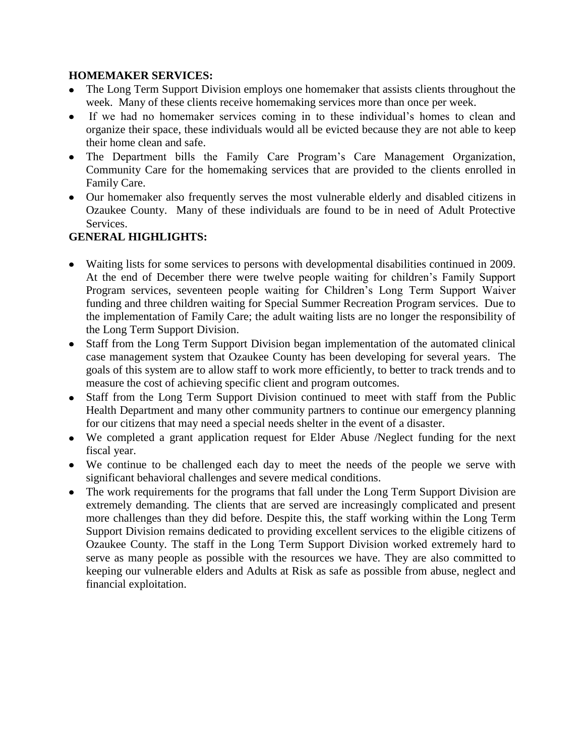## **HOMEMAKER SERVICES:**

- The Long Term Support Division employs one homemaker that assists clients throughout the week. Many of these clients receive homemaking services more than once per week.
- If we had no homemaker services coming in to these individual"s homes to clean and organize their space, these individuals would all be evicted because they are not able to keep their home clean and safe.
- The Department bills the Family Care Program"s Care Management Organization, Community Care for the homemaking services that are provided to the clients enrolled in Family Care.
- Our homemaker also frequently serves the most vulnerable elderly and disabled citizens in Ozaukee County. Many of these individuals are found to be in need of Adult Protective Services.

## **GENERAL HIGHLIGHTS:**

- Waiting lists for some services to persons with developmental disabilities continued in 2009. At the end of December there were twelve people waiting for children"s Family Support Program services, seventeen people waiting for Children"s Long Term Support Waiver funding and three children waiting for Special Summer Recreation Program services. Due to the implementation of Family Care; the adult waiting lists are no longer the responsibility of the Long Term Support Division.
- Staff from the Long Term Support Division began implementation of the automated clinical case management system that Ozaukee County has been developing for several years. The goals of this system are to allow staff to work more efficiently, to better to track trends and to measure the cost of achieving specific client and program outcomes.
- Staff from the Long Term Support Division continued to meet with staff from the Public Health Department and many other community partners to continue our emergency planning for our citizens that may need a special needs shelter in the event of a disaster.
- We completed a grant application request for Elder Abuse /Neglect funding for the next fiscal year.
- We continue to be challenged each day to meet the needs of the people we serve with significant behavioral challenges and severe medical conditions.
- The work requirements for the programs that fall under the Long Term Support Division are extremely demanding. The clients that are served are increasingly complicated and present more challenges than they did before. Despite this, the staff working within the Long Term Support Division remains dedicated to providing excellent services to the eligible citizens of Ozaukee County. The staff in the Long Term Support Division worked extremely hard to serve as many people as possible with the resources we have. They are also committed to keeping our vulnerable elders and Adults at Risk as safe as possible from abuse, neglect and financial exploitation.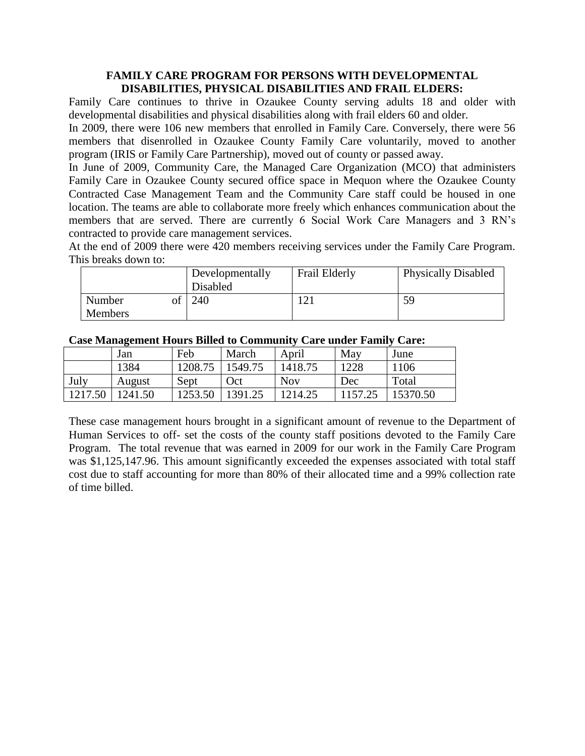### **FAMILY CARE PROGRAM FOR PERSONS WITH DEVELOPMENTAL DISABILITIES, PHYSICAL DISABILITIES AND FRAIL ELDERS:**

Family Care continues to thrive in Ozaukee County serving adults 18 and older with developmental disabilities and physical disabilities along with frail elders 60 and older.

In 2009, there were 106 new members that enrolled in Family Care. Conversely, there were 56 members that disenrolled in Ozaukee County Family Care voluntarily, moved to another program (IRIS or Family Care Partnership), moved out of county or passed away.

In June of 2009, Community Care, the Managed Care Organization (MCO) that administers Family Care in Ozaukee County secured office space in Mequon where the Ozaukee County Contracted Case Management Team and the Community Care staff could be housed in one location. The teams are able to collaborate more freely which enhances communication about the members that are served. There are currently 6 Social Work Care Managers and 3 RN"s contracted to provide care management services.

At the end of 2009 there were 420 members receiving services under the Family Care Program. This breaks down to:

|                          | Developmentally<br>Disabled | Frail Elderly | <b>Physically Disabled</b> |
|--------------------------|-----------------------------|---------------|----------------------------|
| Number<br><b>Members</b> | 240                         | ∠             | 59                         |

|         | ້<br>Jan | Feb     | March   | April      | May    | June     |
|---------|----------|---------|---------|------------|--------|----------|
|         | 1384     | 1208.75 | 1549.75 | 1418.75    | 1228   | 1106     |
| July    | August   | Sept    | Oct     | <b>Nov</b> | Dec    | Total    |
| 1217.50 | 241.50   | 1253.50 | 1391.25 | 1214.25    | 157.25 | 15370.50 |

**Case Management Hours Billed to Community Care under Family Care:**

These case management hours brought in a significant amount of revenue to the Department of Human Services to off- set the costs of the county staff positions devoted to the Family Care Program. The total revenue that was earned in 2009 for our work in the Family Care Program was \$1,125,147.96. This amount significantly exceeded the expenses associated with total staff cost due to staff accounting for more than 80% of their allocated time and a 99% collection rate of time billed.